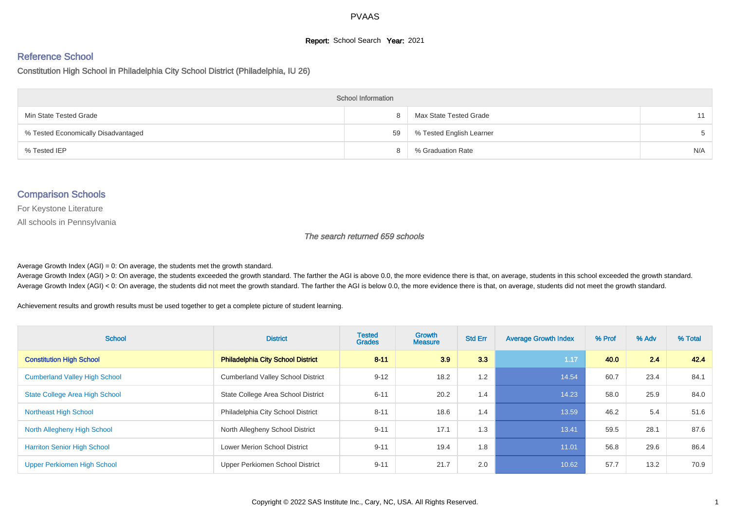#### **Report:** School Search **Year:** 2021

# Reference School

Constitution High School in Philadelphia City School District (Philadelphia, IU 26)

| <b>School Information</b>           |    |                          |     |  |  |  |  |  |
|-------------------------------------|----|--------------------------|-----|--|--|--|--|--|
| Min State Tested Grade              | 8  | Max State Tested Grade   | 11  |  |  |  |  |  |
| % Tested Economically Disadvantaged | 59 | % Tested English Learner |     |  |  |  |  |  |
| % Tested IEP                        | 8  | % Graduation Rate        | N/A |  |  |  |  |  |

#### Comparison Schools

For Keystone Literature

All schools in Pennsylvania

The search returned 659 schools

Average Growth Index  $(AGI) = 0$ : On average, the students met the growth standard.

Average Growth Index (AGI) > 0: On average, the students exceeded the growth standard. The farther the AGI is above 0.0, the more evidence there is that, on average, students in this school exceeded the growth standard. Average Growth Index (AGI) < 0: On average, the students did not meet the growth standard. The farther the AGI is below 0.0, the more evidence there is that, on average, students did not meet the growth standard.

Achievement results and growth results must be used together to get a complete picture of student learning.

| <b>School</b>                         | <b>District</b>                          | <b>Tested</b><br><b>Grades</b> | Growth<br><b>Measure</b> | <b>Std Err</b> | <b>Average Growth Index</b> | % Prof | % Adv | % Total |
|---------------------------------------|------------------------------------------|--------------------------------|--------------------------|----------------|-----------------------------|--------|-------|---------|
| <b>Constitution High School</b>       | <b>Philadelphia City School District</b> | $8 - 11$                       | 3.9                      | 3.3            | 1.17                        | 40.0   | 2.4   | 42.4    |
| <b>Cumberland Valley High School</b>  | <b>Cumberland Valley School District</b> | $9 - 12$                       | 18.2                     | 1.2            | 14.54                       | 60.7   | 23.4  | 84.1    |
| <b>State College Area High School</b> | State College Area School District       | $6 - 11$                       | 20.2                     | 1.4            | 14.23                       | 58.0   | 25.9  | 84.0    |
| <b>Northeast High School</b>          | Philadelphia City School District        | $8 - 11$                       | 18.6                     | 1.4            | 13.59                       | 46.2   | 5.4   | 51.6    |
| North Allegheny High School           | North Allegheny School District          | $9 - 11$                       | 17.1                     | 1.3            | 13.41                       | 59.5   | 28.1  | 87.6    |
| <b>Harriton Senior High School</b>    | <b>Lower Merion School District</b>      | $9 - 11$                       | 19.4                     | 1.8            | 11.01                       | 56.8   | 29.6  | 86.4    |
| Upper Perkiomen High School           | Upper Perkiomen School District          | $9 - 11$                       | 21.7                     | 2.0            | 10.62                       | 57.7   | 13.2  | 70.9    |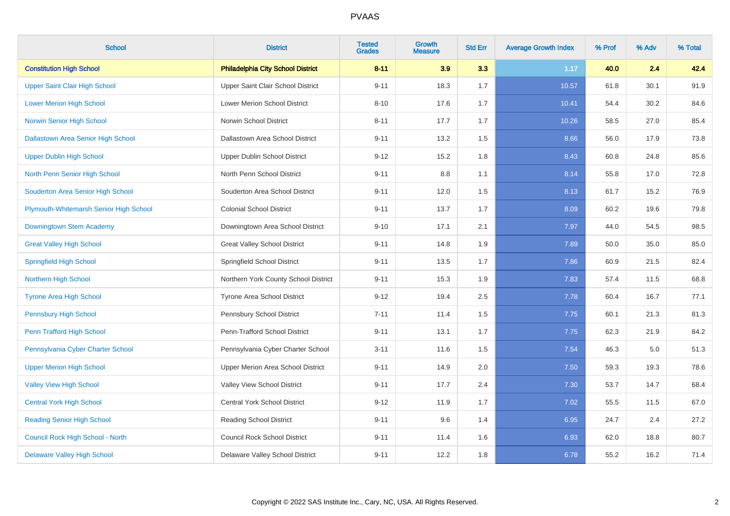| <b>School</b>                          | <b>District</b>                          | <b>Tested</b><br><b>Grades</b> | <b>Growth</b><br><b>Measure</b> | <b>Std Err</b> | <b>Average Growth Index</b> | % Prof | % Adv | % Total |
|----------------------------------------|------------------------------------------|--------------------------------|---------------------------------|----------------|-----------------------------|--------|-------|---------|
| <b>Constitution High School</b>        | <b>Philadelphia City School District</b> | $8 - 11$                       | 3.9                             | 3.3            | 1.17                        | 40.0   | 2.4   | 42.4    |
| Upper Saint Clair High School          | Upper Saint Clair School District        | $9 - 11$                       | 18.3                            | 1.7            | 10.57                       | 61.8   | 30.1  | 91.9    |
| <b>Lower Merion High School</b>        | <b>Lower Merion School District</b>      | $8 - 10$                       | 17.6                            | 1.7            | 10.41                       | 54.4   | 30.2  | 84.6    |
| Norwin Senior High School              | Norwin School District                   | $8 - 11$                       | 17.7                            | 1.7            | 10.26                       | 58.5   | 27.0  | 85.4    |
| Dallastown Area Senior High School     | Dallastown Area School District          | $9 - 11$                       | 13.2                            | 1.5            | 8.66                        | 56.0   | 17.9  | 73.8    |
| <b>Upper Dublin High School</b>        | Upper Dublin School District             | $9 - 12$                       | 15.2                            | 1.8            | 8.43                        | 60.8   | 24.8  | 85.6    |
| North Penn Senior High School          | North Penn School District               | $9 - 11$                       | 8.8                             | 1.1            | 8.14                        | 55.8   | 17.0  | 72.8    |
| Souderton Area Senior High School      | Souderton Area School District           | $9 - 11$                       | 12.0                            | 1.5            | 8.13                        | 61.7   | 15.2  | 76.9    |
| Plymouth-Whitemarsh Senior High School | <b>Colonial School District</b>          | $9 - 11$                       | 13.7                            | 1.7            | 8.09                        | 60.2   | 19.6  | 79.8    |
| Downingtown Stem Academy               | Downingtown Area School District         | $9 - 10$                       | 17.1                            | 2.1            | 7.97                        | 44.0   | 54.5  | 98.5    |
| <b>Great Valley High School</b>        | <b>Great Valley School District</b>      | $9 - 11$                       | 14.8                            | 1.9            | 7.89                        | 50.0   | 35.0  | 85.0    |
| <b>Springfield High School</b>         | Springfield School District              | $9 - 11$                       | 13.5                            | 1.7            | 7.86                        | 60.9   | 21.5  | 82.4    |
| <b>Northern High School</b>            | Northern York County School District     | $9 - 11$                       | 15.3                            | 1.9            | 7.83                        | 57.4   | 11.5  | 68.8    |
| <b>Tyrone Area High School</b>         | Tyrone Area School District              | $9 - 12$                       | 19.4                            | 2.5            | 7.78                        | 60.4   | 16.7  | 77.1    |
| <b>Pennsbury High School</b>           | Pennsbury School District                | $7 - 11$                       | 11.4                            | 1.5            | 7.75                        | 60.1   | 21.3  | 81.3    |
| Penn Trafford High School              | Penn-Trafford School District            | $9 - 11$                       | 13.1                            | 1.7            | 7.75                        | 62.3   | 21.9  | 84.2    |
| Pennsylvania Cyber Charter School      | Pennsylvania Cyber Charter School        | $3 - 11$                       | 11.6                            | 1.5            | 7.54                        | 46.3   | 5.0   | 51.3    |
| <b>Upper Merion High School</b>        | Upper Merion Area School District        | $9 - 11$                       | 14.9                            | $2.0\,$        | 7.50                        | 59.3   | 19.3  | 78.6    |
| <b>Valley View High School</b>         | Valley View School District              | $9 - 11$                       | 17.7                            | 2.4            | 7.30                        | 53.7   | 14.7  | 68.4    |
| <b>Central York High School</b>        | Central York School District             | $9 - 12$                       | 11.9                            | 1.7            | 7.02                        | 55.5   | 11.5  | 67.0    |
| <b>Reading Senior High School</b>      | Reading School District                  | $9 - 11$                       | 9.6                             | 1.4            | 6.95                        | 24.7   | 2.4   | 27.2    |
| Council Rock High School - North       | <b>Council Rock School District</b>      | $9 - 11$                       | 11.4                            | 1.6            | 6.93                        | 62.0   | 18.8  | 80.7    |
| <b>Delaware Valley High School</b>     | Delaware Valley School District          | $9 - 11$                       | 12.2                            | 1.8            | 6.78                        | 55.2   | 16.2  | 71.4    |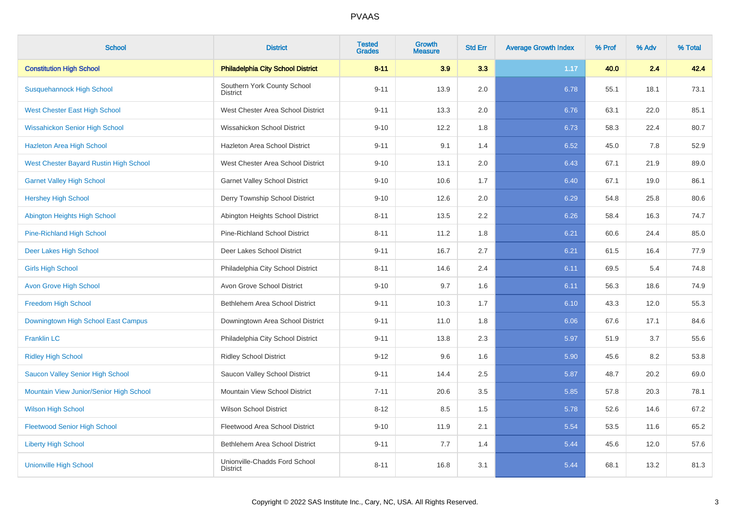| <b>School</b>                           | <b>District</b>                                  | <b>Tested</b><br><b>Grades</b> | Growth<br><b>Measure</b> | <b>Std Err</b> | <b>Average Growth Index</b> | % Prof | % Adv | % Total |
|-----------------------------------------|--------------------------------------------------|--------------------------------|--------------------------|----------------|-----------------------------|--------|-------|---------|
| <b>Constitution High School</b>         | <b>Philadelphia City School District</b>         | $8 - 11$                       | 3.9                      | 3.3            | 1.17                        | 40.0   | 2.4   | 42.4    |
| <b>Susquehannock High School</b>        | Southern York County School<br><b>District</b>   | $9 - 11$                       | 13.9                     | 2.0            | 6.78                        | 55.1   | 18.1  | 73.1    |
| <b>West Chester East High School</b>    | West Chester Area School District                | $9 - 11$                       | 13.3                     | 2.0            | 6.76                        | 63.1   | 22.0  | 85.1    |
| <b>Wissahickon Senior High School</b>   | Wissahickon School District                      | $9 - 10$                       | 12.2                     | 1.8            | 6.73                        | 58.3   | 22.4  | 80.7    |
| <b>Hazleton Area High School</b>        | Hazleton Area School District                    | $9 - 11$                       | 9.1                      | 1.4            | 6.52                        | 45.0   | 7.8   | 52.9    |
| West Chester Bayard Rustin High School  | West Chester Area School District                | $9 - 10$                       | 13.1                     | 2.0            | 6.43                        | 67.1   | 21.9  | 89.0    |
| <b>Garnet Valley High School</b>        | <b>Garnet Valley School District</b>             | $9 - 10$                       | 10.6                     | 1.7            | 6.40                        | 67.1   | 19.0  | 86.1    |
| <b>Hershey High School</b>              | Derry Township School District                   | $9 - 10$                       | 12.6                     | 2.0            | 6.29                        | 54.8   | 25.8  | 80.6    |
| Abington Heights High School            | Abington Heights School District                 | $8 - 11$                       | 13.5                     | 2.2            | 6.26                        | 58.4   | 16.3  | 74.7    |
| <b>Pine-Richland High School</b>        | Pine-Richland School District                    | $8 - 11$                       | 11.2                     | 1.8            | 6.21                        | 60.6   | 24.4  | 85.0    |
| Deer Lakes High School                  | Deer Lakes School District                       | $9 - 11$                       | 16.7                     | 2.7            | 6.21                        | 61.5   | 16.4  | 77.9    |
| <b>Girls High School</b>                | Philadelphia City School District                | $8 - 11$                       | 14.6                     | 2.4            | 6.11                        | 69.5   | 5.4   | 74.8    |
| <b>Avon Grove High School</b>           | Avon Grove School District                       | $9 - 10$                       | 9.7                      | 1.6            | 6.11                        | 56.3   | 18.6  | 74.9    |
| <b>Freedom High School</b>              | Bethlehem Area School District                   | $9 - 11$                       | 10.3                     | 1.7            | 6.10                        | 43.3   | 12.0  | 55.3    |
| Downingtown High School East Campus     | Downingtown Area School District                 | $9 - 11$                       | 11.0                     | 1.8            | 6.06                        | 67.6   | 17.1  | 84.6    |
| <b>Franklin LC</b>                      | Philadelphia City School District                | $9 - 11$                       | 13.8                     | 2.3            | 5.97                        | 51.9   | 3.7   | 55.6    |
| <b>Ridley High School</b>               | <b>Ridley School District</b>                    | $9 - 12$                       | 9.6                      | 1.6            | 5.90                        | 45.6   | 8.2   | 53.8    |
| Saucon Valley Senior High School        | Saucon Valley School District                    | $9 - 11$                       | 14.4                     | 2.5            | 5.87                        | 48.7   | 20.2  | 69.0    |
| Mountain View Junior/Senior High School | Mountain View School District                    | $7 - 11$                       | 20.6                     | 3.5            | 5.85                        | 57.8   | 20.3  | 78.1    |
| <b>Wilson High School</b>               | <b>Wilson School District</b>                    | $8 - 12$                       | 8.5                      | 1.5            | 5.78                        | 52.6   | 14.6  | 67.2    |
| <b>Fleetwood Senior High School</b>     | Fleetwood Area School District                   | $9 - 10$                       | 11.9                     | 2.1            | 5.54                        | 53.5   | 11.6  | 65.2    |
| <b>Liberty High School</b>              | Bethlehem Area School District                   | $9 - 11$                       | 7.7                      | 1.4            | 5.44                        | 45.6   | 12.0  | 57.6    |
| <b>Unionville High School</b>           | Unionville-Chadds Ford School<br><b>District</b> | $8 - 11$                       | 16.8                     | 3.1            | 5.44                        | 68.1   | 13.2  | 81.3    |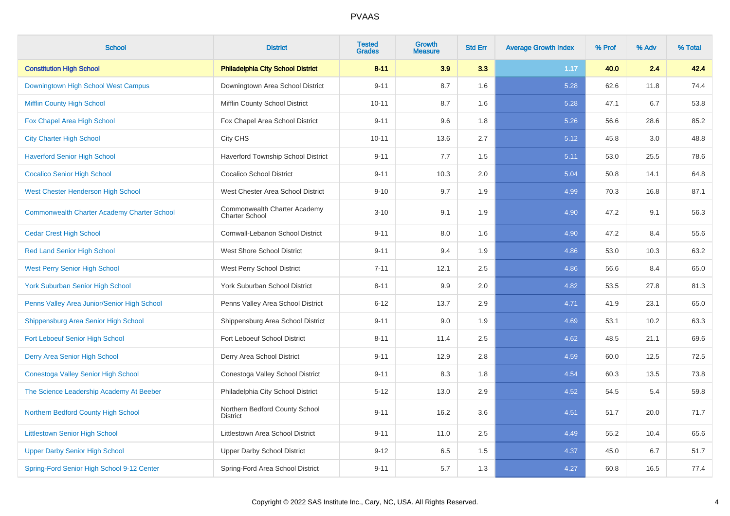| <b>School</b>                                      | <b>District</b>                                       | <b>Tested</b><br><b>Grades</b> | <b>Growth</b><br><b>Measure</b> | <b>Std Err</b> | <b>Average Growth Index</b> | % Prof | % Adv | % Total |
|----------------------------------------------------|-------------------------------------------------------|--------------------------------|---------------------------------|----------------|-----------------------------|--------|-------|---------|
| <b>Constitution High School</b>                    | <b>Philadelphia City School District</b>              | $8 - 11$                       | 3.9                             | 3.3            | 1.17                        | 40.0   | 2.4   | 42.4    |
| Downingtown High School West Campus                | Downingtown Area School District                      | $9 - 11$                       | 8.7                             | 1.6            | 5.28                        | 62.6   | 11.8  | 74.4    |
| <b>Mifflin County High School</b>                  | Mifflin County School District                        | $10 - 11$                      | 8.7                             | 1.6            | 5.28                        | 47.1   | 6.7   | 53.8    |
| Fox Chapel Area High School                        | Fox Chapel Area School District                       | $9 - 11$                       | 9.6                             | 1.8            | 5.26                        | 56.6   | 28.6  | 85.2    |
| <b>City Charter High School</b>                    | City CHS                                              | $10 - 11$                      | 13.6                            | 2.7            | 5.12                        | 45.8   | 3.0   | 48.8    |
| <b>Haverford Senior High School</b>                | Haverford Township School District                    | $9 - 11$                       | 7.7                             | 1.5            | 5.11                        | 53.0   | 25.5  | 78.6    |
| <b>Cocalico Senior High School</b>                 | <b>Cocalico School District</b>                       | $9 - 11$                       | 10.3                            | 2.0            | 5.04                        | 50.8   | 14.1  | 64.8    |
| West Chester Henderson High School                 | West Chester Area School District                     | $9 - 10$                       | 9.7                             | 1.9            | 4.99                        | 70.3   | 16.8  | 87.1    |
| <b>Commonwealth Charter Academy Charter School</b> | Commonwealth Charter Academy<br><b>Charter School</b> | $3 - 10$                       | 9.1                             | 1.9            | 4.90                        | 47.2   | 9.1   | 56.3    |
| <b>Cedar Crest High School</b>                     | Cornwall-Lebanon School District                      | $9 - 11$                       | 8.0                             | 1.6            | 4.90                        | 47.2   | 8.4   | 55.6    |
| <b>Red Land Senior High School</b>                 | <b>West Shore School District</b>                     | $9 - 11$                       | 9.4                             | 1.9            | 4.86                        | 53.0   | 10.3  | 63.2    |
| <b>West Perry Senior High School</b>               | West Perry School District                            | $7 - 11$                       | 12.1                            | 2.5            | 4.86                        | 56.6   | 8.4   | 65.0    |
| <b>York Suburban Senior High School</b>            | York Suburban School District                         | $8 - 11$                       | 9.9                             | 2.0            | 4.82                        | 53.5   | 27.8  | 81.3    |
| Penns Valley Area Junior/Senior High School        | Penns Valley Area School District                     | $6 - 12$                       | 13.7                            | 2.9            | 4.71                        | 41.9   | 23.1  | 65.0    |
| Shippensburg Area Senior High School               | Shippensburg Area School District                     | $9 - 11$                       | 9.0                             | 1.9            | 4.69                        | 53.1   | 10.2  | 63.3    |
| Fort Leboeuf Senior High School                    | Fort Leboeuf School District                          | $8 - 11$                       | 11.4                            | 2.5            | 4.62                        | 48.5   | 21.1  | 69.6    |
| Derry Area Senior High School                      | Derry Area School District                            | $9 - 11$                       | 12.9                            | 2.8            | 4.59                        | 60.0   | 12.5  | 72.5    |
| Conestoga Valley Senior High School                | Conestoga Valley School District                      | $9 - 11$                       | 8.3                             | 1.8            | 4.54                        | 60.3   | 13.5  | 73.8    |
| The Science Leadership Academy At Beeber           | Philadelphia City School District                     | $5 - 12$                       | 13.0                            | 2.9            | 4.52                        | 54.5   | 5.4   | 59.8    |
| Northern Bedford County High School                | Northern Bedford County School<br><b>District</b>     | $9 - 11$                       | 16.2                            | 3.6            | 4.51                        | 51.7   | 20.0  | 71.7    |
| <b>Littlestown Senior High School</b>              | <b>Littlestown Area School District</b>               | $9 - 11$                       | 11.0                            | 2.5            | 4.49                        | 55.2   | 10.4  | 65.6    |
| <b>Upper Darby Senior High School</b>              | <b>Upper Darby School District</b>                    | $9 - 12$                       | 6.5                             | 1.5            | 4.37                        | 45.0   | 6.7   | 51.7    |
| Spring-Ford Senior High School 9-12 Center         | Spring-Ford Area School District                      | $9 - 11$                       | 5.7                             | 1.3            | 4.27                        | 60.8   | 16.5  | 77.4    |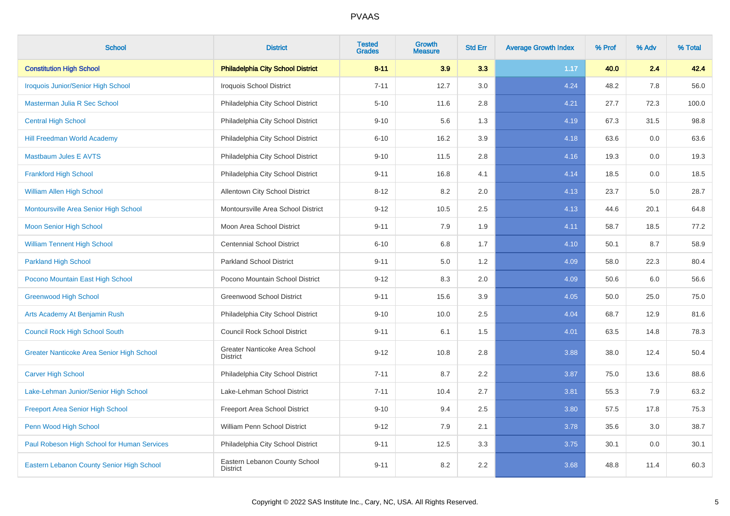| <b>School</b>                               | <b>District</b>                                  | <b>Tested</b><br><b>Grades</b> | <b>Growth</b><br><b>Measure</b> | <b>Std Err</b> | <b>Average Growth Index</b> | % Prof | % Adv | % Total |
|---------------------------------------------|--------------------------------------------------|--------------------------------|---------------------------------|----------------|-----------------------------|--------|-------|---------|
| <b>Constitution High School</b>             | <b>Philadelphia City School District</b>         | $8 - 11$                       | 3.9                             | 3.3            | 1.17                        | 40.0   | 2.4   | 42.4    |
| <b>Iroquois Junior/Senior High School</b>   | <b>Iroquois School District</b>                  | $7 - 11$                       | 12.7                            | 3.0            | 4.24                        | 48.2   | 7.8   | 56.0    |
| Masterman Julia R Sec School                | Philadelphia City School District                | $5 - 10$                       | 11.6                            | 2.8            | 4.21                        | 27.7   | 72.3  | 100.0   |
| <b>Central High School</b>                  | Philadelphia City School District                | $9 - 10$                       | 5.6                             | 1.3            | 4.19                        | 67.3   | 31.5  | 98.8    |
| <b>Hill Freedman World Academy</b>          | Philadelphia City School District                | $6 - 10$                       | 16.2                            | 3.9            | 4.18                        | 63.6   | 0.0   | 63.6    |
| <b>Mastbaum Jules E AVTS</b>                | Philadelphia City School District                | $9 - 10$                       | 11.5                            | 2.8            | 4.16                        | 19.3   | 0.0   | 19.3    |
| <b>Frankford High School</b>                | Philadelphia City School District                | $9 - 11$                       | 16.8                            | 4.1            | 4.14                        | 18.5   | 0.0   | 18.5    |
| <b>William Allen High School</b>            | Allentown City School District                   | $8 - 12$                       | 8.2                             | 2.0            | 4.13                        | 23.7   | 5.0   | 28.7    |
| Montoursville Area Senior High School       | Montoursville Area School District               | $9 - 12$                       | 10.5                            | 2.5            | 4.13                        | 44.6   | 20.1  | 64.8    |
| Moon Senior High School                     | Moon Area School District                        | $9 - 11$                       | 7.9                             | 1.9            | 4.11                        | 58.7   | 18.5  | 77.2    |
| <b>William Tennent High School</b>          | <b>Centennial School District</b>                | $6 - 10$                       | 6.8                             | 1.7            | 4.10                        | 50.1   | 8.7   | 58.9    |
| <b>Parkland High School</b>                 | <b>Parkland School District</b>                  | $9 - 11$                       | 5.0                             | 1.2            | 4.09                        | 58.0   | 22.3  | 80.4    |
| Pocono Mountain East High School            | Pocono Mountain School District                  | $9 - 12$                       | 8.3                             | 2.0            | 4.09                        | 50.6   | 6.0   | 56.6    |
| <b>Greenwood High School</b>                | <b>Greenwood School District</b>                 | $9 - 11$                       | 15.6                            | 3.9            | 4.05                        | 50.0   | 25.0  | 75.0    |
| Arts Academy At Benjamin Rush               | Philadelphia City School District                | $9 - 10$                       | 10.0                            | 2.5            | 4.04                        | 68.7   | 12.9  | 81.6    |
| <b>Council Rock High School South</b>       | <b>Council Rock School District</b>              | $9 - 11$                       | 6.1                             | 1.5            | 4.01                        | 63.5   | 14.8  | 78.3    |
| Greater Nanticoke Area Senior High School   | Greater Nanticoke Area School<br><b>District</b> | $9 - 12$                       | 10.8                            | 2.8            | 3.88                        | 38.0   | 12.4  | 50.4    |
| <b>Carver High School</b>                   | Philadelphia City School District                | $7 - 11$                       | 8.7                             | 2.2            | 3.87                        | 75.0   | 13.6  | 88.6    |
| Lake-Lehman Junior/Senior High School       | Lake-Lehman School District                      | $7 - 11$                       | 10.4                            | 2.7            | 3.81                        | 55.3   | 7.9   | 63.2    |
| <b>Freeport Area Senior High School</b>     | Freeport Area School District                    | $9 - 10$                       | 9.4                             | 2.5            | 3.80                        | 57.5   | 17.8  | 75.3    |
| Penn Wood High School                       | William Penn School District                     | $9 - 12$                       | 7.9                             | 2.1            | 3.78                        | 35.6   | 3.0   | 38.7    |
| Paul Robeson High School for Human Services | Philadelphia City School District                | $9 - 11$                       | 12.5                            | 3.3            | 3.75                        | 30.1   | 0.0   | 30.1    |
| Eastern Lebanon County Senior High School   | Eastern Lebanon County School<br><b>District</b> | $9 - 11$                       | 8.2                             | 2.2            | 3.68                        | 48.8   | 11.4  | 60.3    |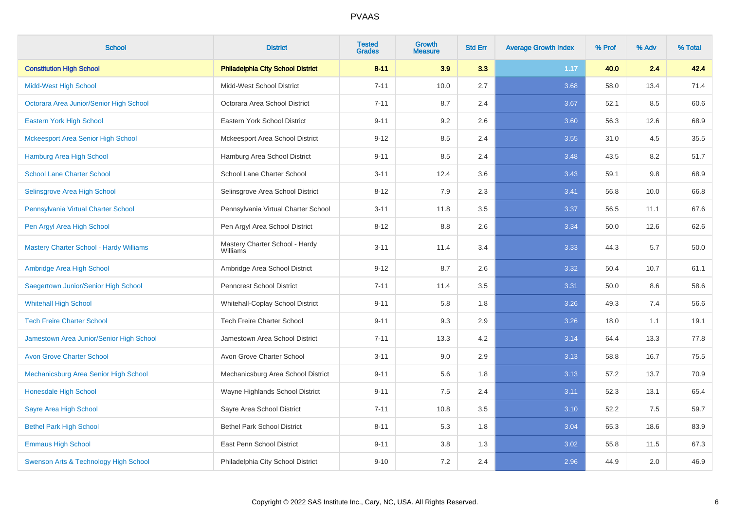| <b>School</b>                                  | <b>District</b>                            | <b>Tested</b><br><b>Grades</b> | Growth<br><b>Measure</b> | <b>Std Err</b> | <b>Average Growth Index</b> | % Prof | % Adv | % Total |
|------------------------------------------------|--------------------------------------------|--------------------------------|--------------------------|----------------|-----------------------------|--------|-------|---------|
| <b>Constitution High School</b>                | <b>Philadelphia City School District</b>   | $8 - 11$                       | 3.9                      | 3.3            | 1.17                        | 40.0   | 2.4   | 42.4    |
| <b>Midd-West High School</b>                   | Midd-West School District                  | $7 - 11$                       | 10.0                     | 2.7            | 3.68                        | 58.0   | 13.4  | 71.4    |
| Octorara Area Junior/Senior High School        | Octorara Area School District              | $7 - 11$                       | 8.7                      | 2.4            | 3.67                        | 52.1   | 8.5   | 60.6    |
| Eastern York High School                       | Eastern York School District               | $9 - 11$                       | 9.2                      | 2.6            | 3.60                        | 56.3   | 12.6  | 68.9    |
| <b>Mckeesport Area Senior High School</b>      | Mckeesport Area School District            | $9 - 12$                       | 8.5                      | 2.4            | 3.55                        | 31.0   | 4.5   | 35.5    |
| <b>Hamburg Area High School</b>                | Hamburg Area School District               | $9 - 11$                       | 8.5                      | 2.4            | 3.48                        | 43.5   | 8.2   | 51.7    |
| <b>School Lane Charter School</b>              | School Lane Charter School                 | $3 - 11$                       | 12.4                     | 3.6            | 3.43                        | 59.1   | 9.8   | 68.9    |
| Selinsgrove Area High School                   | Selinsgrove Area School District           | $8 - 12$                       | 7.9                      | 2.3            | 3.41                        | 56.8   | 10.0  | 66.8    |
| Pennsylvania Virtual Charter School            | Pennsylvania Virtual Charter School        | $3 - 11$                       | 11.8                     | 3.5            | 3.37                        | 56.5   | 11.1  | 67.6    |
| Pen Argyl Area High School                     | Pen Argyl Area School District             | $8 - 12$                       | 8.8                      | 2.6            | 3.34                        | 50.0   | 12.6  | 62.6    |
| <b>Mastery Charter School - Hardy Williams</b> | Mastery Charter School - Hardy<br>Williams | $3 - 11$                       | 11.4                     | 3.4            | 3.33                        | 44.3   | 5.7   | 50.0    |
| Ambridge Area High School                      | Ambridge Area School District              | $9 - 12$                       | 8.7                      | 2.6            | 3.32                        | 50.4   | 10.7  | 61.1    |
| Saegertown Junior/Senior High School           | <b>Penncrest School District</b>           | $7 - 11$                       | 11.4                     | 3.5            | 3.31                        | 50.0   | 8.6   | 58.6    |
| <b>Whitehall High School</b>                   | Whitehall-Coplay School District           | $9 - 11$                       | 5.8                      | 1.8            | 3.26                        | 49.3   | 7.4   | 56.6    |
| <b>Tech Freire Charter School</b>              | <b>Tech Freire Charter School</b>          | $9 - 11$                       | 9.3                      | 2.9            | 3.26                        | 18.0   | 1.1   | 19.1    |
| Jamestown Area Junior/Senior High School       | Jamestown Area School District             | $7 - 11$                       | 13.3                     | 4.2            | 3.14                        | 64.4   | 13.3  | 77.8    |
| <b>Avon Grove Charter School</b>               | Avon Grove Charter School                  | $3 - 11$                       | 9.0                      | 2.9            | 3.13                        | 58.8   | 16.7  | 75.5    |
| Mechanicsburg Area Senior High School          | Mechanicsburg Area School District         | $9 - 11$                       | 5.6                      | 1.8            | 3.13                        | 57.2   | 13.7  | 70.9    |
| Honesdale High School                          | Wayne Highlands School District            | $9 - 11$                       | $7.5\,$                  | 2.4            | 3.11                        | 52.3   | 13.1  | 65.4    |
| Sayre Area High School                         | Sayre Area School District                 | $7 - 11$                       | 10.8                     | 3.5            | 3.10                        | 52.2   | 7.5   | 59.7    |
| <b>Bethel Park High School</b>                 | <b>Bethel Park School District</b>         | $8 - 11$                       | 5.3                      | 1.8            | 3.04                        | 65.3   | 18.6  | 83.9    |
| <b>Emmaus High School</b>                      | East Penn School District                  | $9 - 11$                       | 3.8                      | 1.3            | 3.02                        | 55.8   | 11.5  | 67.3    |
| Swenson Arts & Technology High School          | Philadelphia City School District          | $9 - 10$                       | 7.2                      | 2.4            | 2.96                        | 44.9   | 2.0   | 46.9    |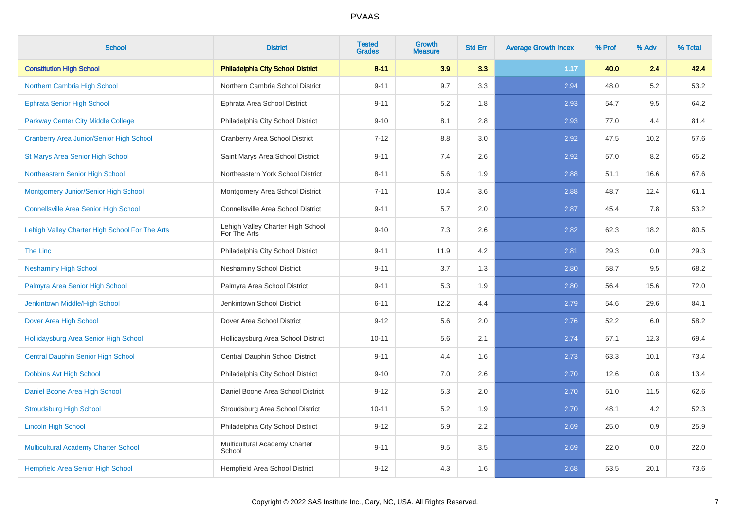| <b>School</b>                                   | <b>District</b>                                   | <b>Tested</b><br><b>Grades</b> | <b>Growth</b><br><b>Measure</b> | <b>Std Err</b> | <b>Average Growth Index</b> | % Prof | % Adv | % Total |
|-------------------------------------------------|---------------------------------------------------|--------------------------------|---------------------------------|----------------|-----------------------------|--------|-------|---------|
| <b>Constitution High School</b>                 | <b>Philadelphia City School District</b>          | $8 - 11$                       | 3.9                             | 3.3            | 1.17                        | 40.0   | 2.4   | 42.4    |
| Northern Cambria High School                    | Northern Cambria School District                  | $9 - 11$                       | 9.7                             | 3.3            | 2.94                        | 48.0   | 5.2   | 53.2    |
| <b>Ephrata Senior High School</b>               | Ephrata Area School District                      | $9 - 11$                       | 5.2                             | 1.8            | 2.93                        | 54.7   | 9.5   | 64.2    |
| <b>Parkway Center City Middle College</b>       | Philadelphia City School District                 | $9 - 10$                       | 8.1                             | 2.8            | 2.93                        | 77.0   | 4.4   | 81.4    |
| <b>Cranberry Area Junior/Senior High School</b> | <b>Cranberry Area School District</b>             | $7 - 12$                       | 8.8                             | 3.0            | 2.92                        | 47.5   | 10.2  | 57.6    |
| St Marys Area Senior High School                | Saint Marys Area School District                  | $9 - 11$                       | 7.4                             | 2.6            | 2.92                        | 57.0   | 8.2   | 65.2    |
| Northeastern Senior High School                 | Northeastern York School District                 | $8 - 11$                       | 5.6                             | 1.9            | 2.88                        | 51.1   | 16.6  | 67.6    |
| Montgomery Junior/Senior High School            | Montgomery Area School District                   | $7 - 11$                       | 10.4                            | 3.6            | 2.88                        | 48.7   | 12.4  | 61.1    |
| <b>Connellsville Area Senior High School</b>    | Connellsville Area School District                | $9 - 11$                       | 5.7                             | 2.0            | 2.87                        | 45.4   | 7.8   | 53.2    |
| Lehigh Valley Charter High School For The Arts  | Lehigh Valley Charter High School<br>For The Arts | $9 - 10$                       | 7.3                             | 2.6            | 2.82                        | 62.3   | 18.2  | 80.5    |
| The Linc                                        | Philadelphia City School District                 | $9 - 11$                       | 11.9                            | 4.2            | 2.81                        | 29.3   | 0.0   | 29.3    |
| <b>Neshaminy High School</b>                    | <b>Neshaminy School District</b>                  | $9 - 11$                       | 3.7                             | 1.3            | 2.80                        | 58.7   | 9.5   | 68.2    |
| Palmyra Area Senior High School                 | Palmyra Area School District                      | $9 - 11$                       | 5.3                             | 1.9            | 2.80                        | 56.4   | 15.6  | 72.0    |
| Jenkintown Middle/High School                   | Jenkintown School District                        | $6 - 11$                       | 12.2                            | 4.4            | 2.79                        | 54.6   | 29.6  | 84.1    |
| Dover Area High School                          | Dover Area School District                        | $9 - 12$                       | 5.6                             | 2.0            | 2.76                        | 52.2   | 6.0   | 58.2    |
| Hollidaysburg Area Senior High School           | Hollidaysburg Area School District                | $10 - 11$                      | 5.6                             | 2.1            | 2.74                        | 57.1   | 12.3  | 69.4    |
| <b>Central Dauphin Senior High School</b>       | Central Dauphin School District                   | $9 - 11$                       | 4.4                             | 1.6            | 2.73                        | 63.3   | 10.1  | 73.4    |
| Dobbins Avt High School                         | Philadelphia City School District                 | $9 - 10$                       | 7.0                             | 2.6            | 2.70                        | 12.6   | 0.8   | 13.4    |
| Daniel Boone Area High School                   | Daniel Boone Area School District                 | $9 - 12$                       | 5.3                             | 2.0            | 2.70                        | 51.0   | 11.5  | 62.6    |
| <b>Stroudsburg High School</b>                  | Stroudsburg Area School District                  | $10 - 11$                      | 5.2                             | 1.9            | 2.70                        | 48.1   | 4.2   | 52.3    |
| <b>Lincoln High School</b>                      | Philadelphia City School District                 | $9 - 12$                       | 5.9                             | $2.2\,$        | 2.69                        | 25.0   | 0.9   | 25.9    |
| Multicultural Academy Charter School            | Multicultural Academy Charter<br>School           | $9 - 11$                       | 9.5                             | 3.5            | 2.69                        | 22.0   | 0.0   | 22.0    |
| <b>Hempfield Area Senior High School</b>        | <b>Hempfield Area School District</b>             | $9 - 12$                       | 4.3                             | 1.6            | 2.68                        | 53.5   | 20.1  | 73.6    |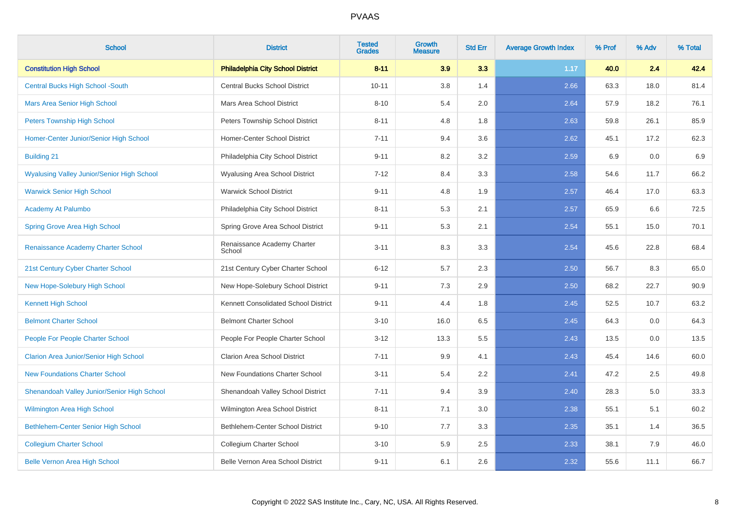| <b>School</b>                                     | <b>District</b>                          | <b>Tested</b><br><b>Grades</b> | <b>Growth</b><br><b>Measure</b> | <b>Std Err</b> | <b>Average Growth Index</b> | % Prof | % Adv | % Total |
|---------------------------------------------------|------------------------------------------|--------------------------------|---------------------------------|----------------|-----------------------------|--------|-------|---------|
| <b>Constitution High School</b>                   | <b>Philadelphia City School District</b> | $8 - 11$                       | 3.9                             | 3.3            | 1.17                        | 40.0   | 2.4   | 42.4    |
| <b>Central Bucks High School -South</b>           | <b>Central Bucks School District</b>     | $10 - 11$                      | 3.8                             | 1.4            | 2.66                        | 63.3   | 18.0  | 81.4    |
| <b>Mars Area Senior High School</b>               | Mars Area School District                | $8 - 10$                       | 5.4                             | 2.0            | 2.64                        | 57.9   | 18.2  | 76.1    |
| <b>Peters Township High School</b>                | Peters Township School District          | $8 - 11$                       | 4.8                             | 1.8            | 2.63                        | 59.8   | 26.1  | 85.9    |
| Homer-Center Junior/Senior High School            | Homer-Center School District             | $7 - 11$                       | 9.4                             | 3.6            | 2.62                        | 45.1   | 17.2  | 62.3    |
| <b>Building 21</b>                                | Philadelphia City School District        | $9 - 11$                       | 8.2                             | 3.2            | 2.59                        | 6.9    | 0.0   | 6.9     |
| <b>Wyalusing Valley Junior/Senior High School</b> | Wyalusing Area School District           | $7 - 12$                       | 8.4                             | 3.3            | 2.58                        | 54.6   | 11.7  | 66.2    |
| <b>Warwick Senior High School</b>                 | <b>Warwick School District</b>           | $9 - 11$                       | 4.8                             | 1.9            | 2.57                        | 46.4   | 17.0  | 63.3    |
| Academy At Palumbo                                | Philadelphia City School District        | $8 - 11$                       | 5.3                             | 2.1            | 2.57                        | 65.9   | 6.6   | 72.5    |
| <b>Spring Grove Area High School</b>              | Spring Grove Area School District        | $9 - 11$                       | 5.3                             | 2.1            | 2.54                        | 55.1   | 15.0  | 70.1    |
| Renaissance Academy Charter School                | Renaissance Academy Charter<br>School    | $3 - 11$                       | 8.3                             | 3.3            | 2.54                        | 45.6   | 22.8  | 68.4    |
| 21st Century Cyber Charter School                 | 21st Century Cyber Charter School        | $6 - 12$                       | 5.7                             | 2.3            | 2.50                        | 56.7   | 8.3   | 65.0    |
| New Hope-Solebury High School                     | New Hope-Solebury School District        | $9 - 11$                       | 7.3                             | 2.9            | 2.50                        | 68.2   | 22.7  | 90.9    |
| <b>Kennett High School</b>                        | Kennett Consolidated School District     | $9 - 11$                       | 4.4                             | 1.8            | 2.45                        | 52.5   | 10.7  | 63.2    |
| <b>Belmont Charter School</b>                     | <b>Belmont Charter School</b>            | $3 - 10$                       | 16.0                            | 6.5            | 2.45                        | 64.3   | 0.0   | 64.3    |
| People For People Charter School                  | People For People Charter School         | $3 - 12$                       | 13.3                            | 5.5            | 2.43                        | 13.5   | 0.0   | 13.5    |
| <b>Clarion Area Junior/Senior High School</b>     | <b>Clarion Area School District</b>      | $7 - 11$                       | 9.9                             | 4.1            | 2.43                        | 45.4   | 14.6  | 60.0    |
| <b>New Foundations Charter School</b>             | New Foundations Charter School           | $3 - 11$                       | 5.4                             | 2.2            | 2.41                        | 47.2   | 2.5   | 49.8    |
| Shenandoah Valley Junior/Senior High School       | Shenandoah Valley School District        | $7 - 11$                       | 9.4                             | 3.9            | 2.40                        | 28.3   | 5.0   | 33.3    |
| <b>Wilmington Area High School</b>                | Wilmington Area School District          | $8 - 11$                       | 7.1                             | 3.0            | 2.38                        | 55.1   | 5.1   | 60.2    |
| Bethlehem-Center Senior High School               | Bethlehem-Center School District         | $9 - 10$                       | 7.7                             | 3.3            | 2.35                        | 35.1   | 1.4   | 36.5    |
| <b>Collegium Charter School</b>                   | Collegium Charter School                 | $3 - 10$                       | 5.9                             | 2.5            | 2.33                        | 38.1   | 7.9   | 46.0    |
| <b>Belle Vernon Area High School</b>              | Belle Vernon Area School District        | $9 - 11$                       | 6.1                             | 2.6            | 2.32                        | 55.6   | 11.1  | 66.7    |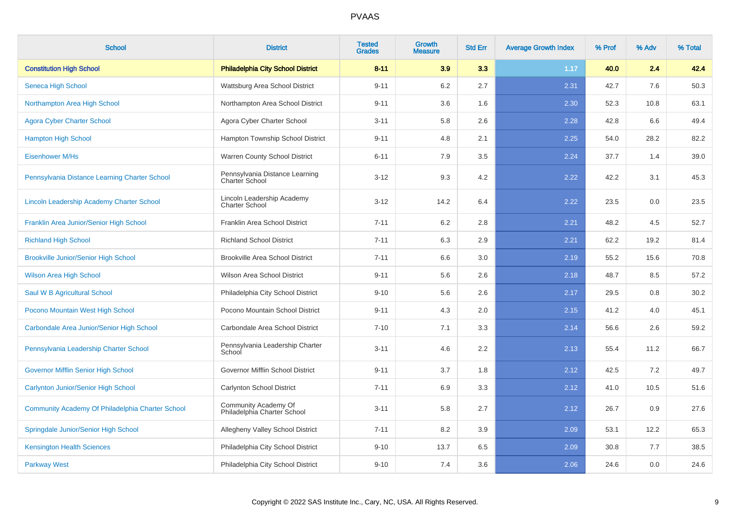| <b>School</b>                                    | <b>District</b>                                         | <b>Tested</b><br><b>Grades</b> | Growth<br><b>Measure</b> | <b>Std Err</b> | <b>Average Growth Index</b> | % Prof | % Adv | % Total |
|--------------------------------------------------|---------------------------------------------------------|--------------------------------|--------------------------|----------------|-----------------------------|--------|-------|---------|
| <b>Constitution High School</b>                  | <b>Philadelphia City School District</b>                | $8 - 11$                       | 3.9                      | 3.3            | 1.17                        | 40.0   | 2.4   | 42.4    |
| Seneca High School                               | Wattsburg Area School District                          | $9 - 11$                       | $6.2\,$                  | 2.7            | 2.31                        | 42.7   | 7.6   | 50.3    |
| Northampton Area High School                     | Northampton Area School District                        | $9 - 11$                       | 3.6                      | 1.6            | 2.30                        | 52.3   | 10.8  | 63.1    |
| <b>Agora Cyber Charter School</b>                | Agora Cyber Charter School                              | $3 - 11$                       | 5.8                      | 2.6            | 2.28                        | 42.8   | 6.6   | 49.4    |
| <b>Hampton High School</b>                       | Hampton Township School District                        | $9 - 11$                       | 4.8                      | 2.1            | 2.25                        | 54.0   | 28.2  | 82.2    |
| <b>Eisenhower M/Hs</b>                           | Warren County School District                           | $6 - 11$                       | 7.9                      | 3.5            | 2.24                        | 37.7   | 1.4   | 39.0    |
| Pennsylvania Distance Learning Charter School    | Pennsylvania Distance Learning<br><b>Charter School</b> | $3 - 12$                       | 9.3                      | 4.2            | 2.22                        | 42.2   | 3.1   | 45.3    |
| Lincoln Leadership Academy Charter School        | Lincoln Leadership Academy<br><b>Charter School</b>     | $3 - 12$                       | 14.2                     | 6.4            | 2.22                        | 23.5   | 0.0   | 23.5    |
| Franklin Area Junior/Senior High School          | Franklin Area School District                           | $7 - 11$                       | 6.2                      | 2.8            | 2.21                        | 48.2   | 4.5   | 52.7    |
| <b>Richland High School</b>                      | <b>Richland School District</b>                         | $7 - 11$                       | 6.3                      | 2.9            | 2.21                        | 62.2   | 19.2  | 81.4    |
| <b>Brookville Junior/Senior High School</b>      | <b>Brookville Area School District</b>                  | $7 - 11$                       | 6.6                      | 3.0            | 2.19                        | 55.2   | 15.6  | 70.8    |
| <b>Wilson Area High School</b>                   | <b>Wilson Area School District</b>                      | $9 - 11$                       | 5.6                      | 2.6            | 2.18                        | 48.7   | 8.5   | 57.2    |
| Saul W B Agricultural School                     | Philadelphia City School District                       | $9 - 10$                       | 5.6                      | 2.6            | 2.17                        | 29.5   | 0.8   | 30.2    |
| Pocono Mountain West High School                 | Pocono Mountain School District                         | $9 - 11$                       | 4.3                      | 2.0            | 2.15                        | 41.2   | 4.0   | 45.1    |
| Carbondale Area Junior/Senior High School        | Carbondale Area School District                         | $7 - 10$                       | 7.1                      | 3.3            | 2.14                        | 56.6   | 2.6   | 59.2    |
| Pennsylvania Leadership Charter School           | Pennsylvania Leadership Charter<br>School               | $3 - 11$                       | 4.6                      | 2.2            | 2.13                        | 55.4   | 11.2  | 66.7    |
| <b>Governor Mifflin Senior High School</b>       | Governor Mifflin School District                        | $9 - 11$                       | 3.7                      | 1.8            | 2.12                        | 42.5   | 7.2   | 49.7    |
| Carlynton Junior/Senior High School              | Carlynton School District                               | $7 - 11$                       | 6.9                      | 3.3            | 2.12                        | 41.0   | 10.5  | 51.6    |
| Community Academy Of Philadelphia Charter School | Community Academy Of<br>Philadelphia Charter School     | $3 - 11$                       | 5.8                      | 2.7            | 2.12                        | 26.7   | 0.9   | 27.6    |
| Springdale Junior/Senior High School             | Allegheny Valley School District                        | $7 - 11$                       | 8.2                      | 3.9            | 2.09                        | 53.1   | 12.2  | 65.3    |
| <b>Kensington Health Sciences</b>                | Philadelphia City School District                       | $9 - 10$                       | 13.7                     | 6.5            | 2.09                        | 30.8   | 7.7   | 38.5    |
| <b>Parkway West</b>                              | Philadelphia City School District                       | $9 - 10$                       | 7.4                      | 3.6            | 2.06                        | 24.6   | 0.0   | 24.6    |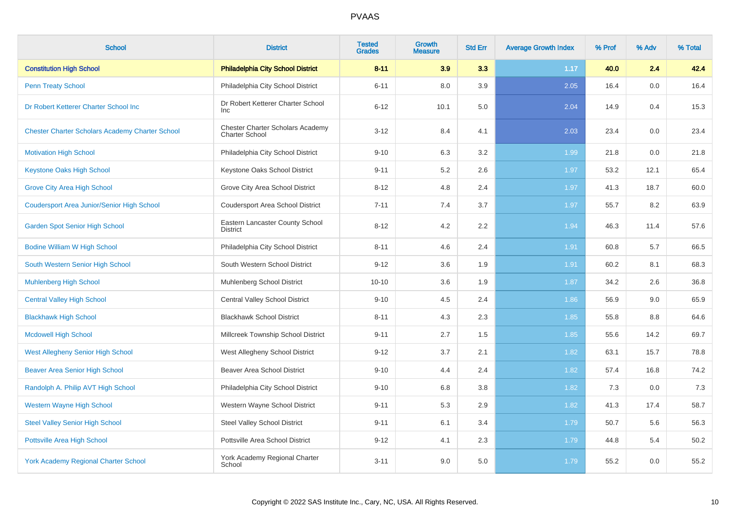| <b>School</b>                                          | <b>District</b>                                           | <b>Tested</b><br><b>Grades</b> | <b>Growth</b><br><b>Measure</b> | <b>Std Err</b> | <b>Average Growth Index</b> | % Prof | % Adv | % Total |
|--------------------------------------------------------|-----------------------------------------------------------|--------------------------------|---------------------------------|----------------|-----------------------------|--------|-------|---------|
| <b>Constitution High School</b>                        | <b>Philadelphia City School District</b>                  | $8 - 11$                       | 3.9                             | 3.3            | 1.17                        | 40.0   | 2.4   | 42.4    |
| <b>Penn Treaty School</b>                              | Philadelphia City School District                         | $6 - 11$                       | 8.0                             | 3.9            | 2.05                        | 16.4   | 0.0   | 16.4    |
| Dr Robert Ketterer Charter School Inc                  | Dr Robert Ketterer Charter School<br><b>Inc</b>           | $6 - 12$                       | 10.1                            | 5.0            | 2.04                        | 14.9   | 0.4   | 15.3    |
| <b>Chester Charter Scholars Academy Charter School</b> | Chester Charter Scholars Academy<br><b>Charter School</b> | $3 - 12$                       | 8.4                             | 4.1            | 2.03                        | 23.4   | 0.0   | 23.4    |
| <b>Motivation High School</b>                          | Philadelphia City School District                         | $9 - 10$                       | 6.3                             | 3.2            | 1.99                        | 21.8   | 0.0   | 21.8    |
| <b>Keystone Oaks High School</b>                       | Keystone Oaks School District                             | $9 - 11$                       | 5.2                             | 2.6            | 1.97                        | 53.2   | 12.1  | 65.4    |
| <b>Grove City Area High School</b>                     | Grove City Area School District                           | $8 - 12$                       | 4.8                             | 2.4            | 1.97                        | 41.3   | 18.7  | 60.0    |
| <b>Coudersport Area Junior/Senior High School</b>      | <b>Coudersport Area School District</b>                   | $7 - 11$                       | 7.4                             | 3.7            | 1.97                        | 55.7   | 8.2   | 63.9    |
| <b>Garden Spot Senior High School</b>                  | Eastern Lancaster County School<br><b>District</b>        | $8 - 12$                       | 4.2                             | 2.2            | 1.94                        | 46.3   | 11.4  | 57.6    |
| <b>Bodine William W High School</b>                    | Philadelphia City School District                         | $8 - 11$                       | 4.6                             | 2.4            | 1.91                        | 60.8   | 5.7   | 66.5    |
| South Western Senior High School                       | South Western School District                             | $9 - 12$                       | 3.6                             | 1.9            | 1.91                        | 60.2   | 8.1   | 68.3    |
| <b>Muhlenberg High School</b>                          | Muhlenberg School District                                | $10 - 10$                      | 3.6                             | 1.9            | 1.87                        | 34.2   | 2.6   | 36.8    |
| <b>Central Valley High School</b>                      | <b>Central Valley School District</b>                     | $9 - 10$                       | 4.5                             | 2.4            | 1.86                        | 56.9   | 9.0   | 65.9    |
| <b>Blackhawk High School</b>                           | <b>Blackhawk School District</b>                          | $8 - 11$                       | 4.3                             | 2.3            | 1.85                        | 55.8   | 8.8   | 64.6    |
| <b>Mcdowell High School</b>                            | Millcreek Township School District                        | $9 - 11$                       | 2.7                             | 1.5            | 1.85                        | 55.6   | 14.2  | 69.7    |
| <b>West Allegheny Senior High School</b>               | West Allegheny School District                            | $9 - 12$                       | 3.7                             | 2.1            | 1.82                        | 63.1   | 15.7  | 78.8    |
| <b>Beaver Area Senior High School</b>                  | <b>Beaver Area School District</b>                        | $9 - 10$                       | 4.4                             | 2.4            | 1.82                        | 57.4   | 16.8  | 74.2    |
| Randolph A. Philip AVT High School                     | Philadelphia City School District                         | $9 - 10$                       | 6.8                             | 3.8            | 1.82                        | 7.3    | 0.0   | 7.3     |
| <b>Western Wayne High School</b>                       | Western Wayne School District                             | $9 - 11$                       | 5.3                             | 2.9            | 1.82                        | 41.3   | 17.4  | 58.7    |
| <b>Steel Valley Senior High School</b>                 | <b>Steel Valley School District</b>                       | $9 - 11$                       | 6.1                             | 3.4            | 1.79                        | 50.7   | 5.6   | 56.3    |
| Pottsville Area High School                            | Pottsville Area School District                           | $9 - 12$                       | 4.1                             | 2.3            | 1.79                        | 44.8   | 5.4   | 50.2    |
| <b>York Academy Regional Charter School</b>            | York Academy Regional Charter<br>School                   | $3 - 11$                       | 9.0                             | 5.0            | 1.79                        | 55.2   | 0.0   | 55.2    |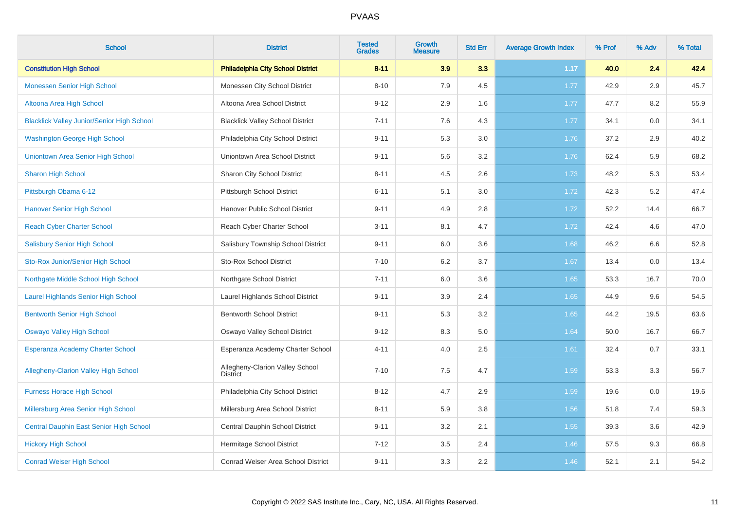| <b>School</b>                                     | <b>District</b>                                    | <b>Tested</b><br><b>Grades</b> | Growth<br><b>Measure</b> | <b>Std Err</b> | <b>Average Growth Index</b> | % Prof | % Adv | % Total |
|---------------------------------------------------|----------------------------------------------------|--------------------------------|--------------------------|----------------|-----------------------------|--------|-------|---------|
| <b>Constitution High School</b>                   | <b>Philadelphia City School District</b>           | $8 - 11$                       | 3.9                      | 3.3            | 1.17                        | 40.0   | 2.4   | 42.4    |
| Monessen Senior High School                       | Monessen City School District                      | $8 - 10$                       | 7.9                      | 4.5            | 1.77                        | 42.9   | 2.9   | 45.7    |
| Altoona Area High School                          | Altoona Area School District                       | $9 - 12$                       | 2.9                      | 1.6            | 1.77                        | 47.7   | 8.2   | 55.9    |
| <b>Blacklick Valley Junior/Senior High School</b> | <b>Blacklick Valley School District</b>            | $7 - 11$                       | 7.6                      | 4.3            | 1.77                        | 34.1   | 0.0   | 34.1    |
| <b>Washington George High School</b>              | Philadelphia City School District                  | $9 - 11$                       | 5.3                      | 3.0            | 1.76                        | 37.2   | 2.9   | 40.2    |
| Uniontown Area Senior High School                 | Uniontown Area School District                     | $9 - 11$                       | 5.6                      | 3.2            | 1.76                        | 62.4   | 5.9   | 68.2    |
| <b>Sharon High School</b>                         | Sharon City School District                        | $8 - 11$                       | 4.5                      | 2.6            | 1.73                        | 48.2   | 5.3   | 53.4    |
| Pittsburgh Obama 6-12                             | Pittsburgh School District                         | $6 - 11$                       | 5.1                      | 3.0            | 1.72                        | 42.3   | 5.2   | 47.4    |
| <b>Hanover Senior High School</b>                 | Hanover Public School District                     | $9 - 11$                       | 4.9                      | 2.8            | 1.72                        | 52.2   | 14.4  | 66.7    |
| <b>Reach Cyber Charter School</b>                 | Reach Cyber Charter School                         | $3 - 11$                       | 8.1                      | 4.7            | 1.72                        | 42.4   | 4.6   | 47.0    |
| <b>Salisbury Senior High School</b>               | Salisbury Township School District                 | $9 - 11$                       | 6.0                      | 3.6            | 1.68                        | 46.2   | 6.6   | 52.8    |
| Sto-Rox Junior/Senior High School                 | Sto-Rox School District                            | $7 - 10$                       | 6.2                      | 3.7            | 1.67                        | 13.4   | 0.0   | 13.4    |
| Northgate Middle School High School               | Northgate School District                          | $7 - 11$                       | 6.0                      | 3.6            | 1.65                        | 53.3   | 16.7  | 70.0    |
| <b>Laurel Highlands Senior High School</b>        | Laurel Highlands School District                   | $9 - 11$                       | 3.9                      | 2.4            | 1.65                        | 44.9   | 9.6   | 54.5    |
| <b>Bentworth Senior High School</b>               | <b>Bentworth School District</b>                   | $9 - 11$                       | 5.3                      | 3.2            | 1.65                        | 44.2   | 19.5  | 63.6    |
| <b>Oswayo Valley High School</b>                  | Oswayo Valley School District                      | $9 - 12$                       | 8.3                      | 5.0            | 1.64                        | 50.0   | 16.7  | 66.7    |
| Esperanza Academy Charter School                  | Esperanza Academy Charter School                   | $4 - 11$                       | 4.0                      | 2.5            | 1.61                        | 32.4   | 0.7   | 33.1    |
| <b>Allegheny-Clarion Valley High School</b>       | Allegheny-Clarion Valley School<br><b>District</b> | $7 - 10$                       | 7.5                      | 4.7            | 1.59                        | 53.3   | 3.3   | 56.7    |
| <b>Furness Horace High School</b>                 | Philadelphia City School District                  | $8 - 12$                       | 4.7                      | 2.9            | 1.59                        | 19.6   | 0.0   | 19.6    |
| Millersburg Area Senior High School               | Millersburg Area School District                   | $8 - 11$                       | 5.9                      | 3.8            | 1.56                        | 51.8   | 7.4   | 59.3    |
| Central Dauphin East Senior High School           | Central Dauphin School District                    | $9 - 11$                       | 3.2                      | 2.1            | 1.55                        | 39.3   | 3.6   | 42.9    |
| <b>Hickory High School</b>                        | Hermitage School District                          | $7 - 12$                       | 3.5                      | 2.4            | 1.46                        | 57.5   | 9.3   | 66.8    |
| <b>Conrad Weiser High School</b>                  | Conrad Weiser Area School District                 | $9 - 11$                       | 3.3                      | 2.2            | 1.46                        | 52.1   | 2.1   | 54.2    |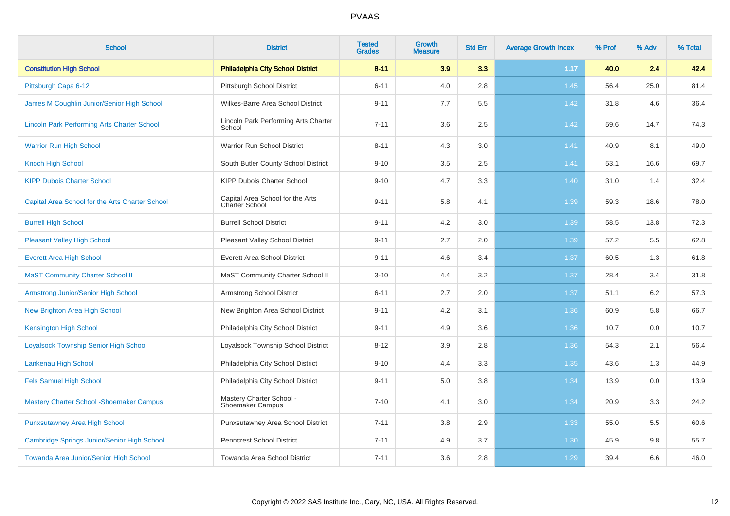| <b>School</b>                                      | <b>District</b>                                    | <b>Tested</b><br><b>Grades</b> | <b>Growth</b><br><b>Measure</b> | <b>Std Err</b> | <b>Average Growth Index</b> | % Prof | % Adv | % Total |
|----------------------------------------------------|----------------------------------------------------|--------------------------------|---------------------------------|----------------|-----------------------------|--------|-------|---------|
| <b>Constitution High School</b>                    | <b>Philadelphia City School District</b>           | $8 - 11$                       | 3.9                             | 3.3            | 1.17                        | 40.0   | 2.4   | 42.4    |
| Pittsburgh Capa 6-12                               | Pittsburgh School District                         | $6 - 11$                       | 4.0                             | 2.8            | 1.45                        | 56.4   | 25.0  | 81.4    |
| James M Coughlin Junior/Senior High School         | Wilkes-Barre Area School District                  | $9 - 11$                       | 7.7                             | 5.5            | 1.42                        | 31.8   | 4.6   | 36.4    |
| <b>Lincoln Park Performing Arts Charter School</b> | Lincoln Park Performing Arts Charter<br>School     | $7 - 11$                       | 3.6                             | 2.5            | 1.42                        | 59.6   | 14.7  | 74.3    |
| <b>Warrior Run High School</b>                     | Warrior Run School District                        | $8 - 11$                       | 4.3                             | $3.0\,$        | 1.41                        | 40.9   | 8.1   | 49.0    |
| <b>Knoch High School</b>                           | South Butler County School District                | $9 - 10$                       | 3.5                             | 2.5            | 1.41                        | 53.1   | 16.6  | 69.7    |
| <b>KIPP Dubois Charter School</b>                  | <b>KIPP Dubois Charter School</b>                  | $9 - 10$                       | 4.7                             | 3.3            | 1.40                        | 31.0   | 1.4   | 32.4    |
| Capital Area School for the Arts Charter School    | Capital Area School for the Arts<br>Charter School | $9 - 11$                       | 5.8                             | 4.1            | 1.39                        | 59.3   | 18.6  | 78.0    |
| <b>Burrell High School</b>                         | <b>Burrell School District</b>                     | $9 - 11$                       | 4.2                             | 3.0            | 1.39                        | 58.5   | 13.8  | 72.3    |
| <b>Pleasant Valley High School</b>                 | Pleasant Valley School District                    | $9 - 11$                       | 2.7                             | 2.0            | 1.39                        | 57.2   | 5.5   | 62.8    |
| <b>Everett Area High School</b>                    | <b>Everett Area School District</b>                | $9 - 11$                       | 4.6                             | 3.4            | 1.37                        | 60.5   | 1.3   | 61.8    |
| <b>MaST Community Charter School II</b>            | MaST Community Charter School II                   | $3 - 10$                       | 4.4                             | 3.2            | 1.37                        | 28.4   | 3.4   | 31.8    |
| <b>Armstrong Junior/Senior High School</b>         | Armstrong School District                          | $6 - 11$                       | 2.7                             | 2.0            | 1.37                        | 51.1   | 6.2   | 57.3    |
| New Brighton Area High School                      | New Brighton Area School District                  | $9 - 11$                       | 4.2                             | 3.1            | 1.36                        | 60.9   | 5.8   | 66.7    |
| <b>Kensington High School</b>                      | Philadelphia City School District                  | $9 - 11$                       | 4.9                             | 3.6            | 1.36                        | 10.7   | 0.0   | 10.7    |
| <b>Loyalsock Township Senior High School</b>       | Loyalsock Township School District                 | $8 - 12$                       | 3.9                             | 2.8            | 1.36                        | 54.3   | 2.1   | 56.4    |
| Lankenau High School                               | Philadelphia City School District                  | $9 - 10$                       | 4.4                             | 3.3            | 1.35                        | 43.6   | 1.3   | 44.9    |
| <b>Fels Samuel High School</b>                     | Philadelphia City School District                  | $9 - 11$                       | 5.0                             | 3.8            | 1.34                        | 13.9   | 0.0   | 13.9    |
| <b>Mastery Charter School - Shoemaker Campus</b>   | Mastery Charter School -<br>Shoemaker Campus       | $7 - 10$                       | 4.1                             | 3.0            | 1.34                        | 20.9   | 3.3   | 24.2    |
| <b>Punxsutawney Area High School</b>               | Punxsutawney Area School District                  | $7 - 11$                       | 3.8                             | 2.9            | 1.33                        | 55.0   | 5.5   | 60.6    |
| Cambridge Springs Junior/Senior High School        | Penncrest School District                          | $7 - 11$                       | 4.9                             | 3.7            | 1.30                        | 45.9   | 9.8   | 55.7    |
| Towanda Area Junior/Senior High School             | Towanda Area School District                       | $7 - 11$                       | 3.6                             | 2.8            | 1.29                        | 39.4   | 6.6   | 46.0    |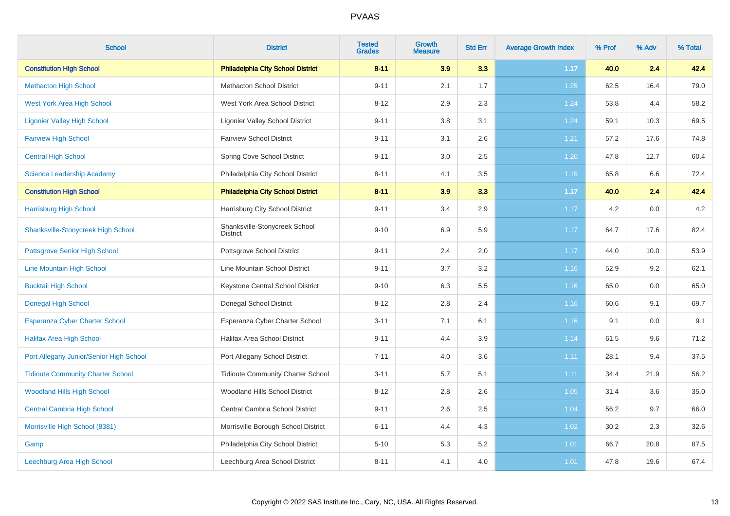| <b>School</b>                             | <b>District</b>                                  | <b>Tested</b><br><b>Grades</b> | <b>Growth</b><br><b>Measure</b> | <b>Std Err</b> | <b>Average Growth Index</b> | % Prof | % Adv | % Total |
|-------------------------------------------|--------------------------------------------------|--------------------------------|---------------------------------|----------------|-----------------------------|--------|-------|---------|
| <b>Constitution High School</b>           | <b>Philadelphia City School District</b>         | $8 - 11$                       | 3.9                             | 3.3            | 1.17                        | 40.0   | 2.4   | 42.4    |
| <b>Methacton High School</b>              | <b>Methacton School District</b>                 | $9 - 11$                       | 2.1                             | 1.7            | 1.25                        | 62.5   | 16.4  | 79.0    |
| <b>West York Area High School</b>         | West York Area School District                   | $8 - 12$                       | 2.9                             | 2.3            | 1.24                        | 53.8   | 4.4   | 58.2    |
| <b>Ligonier Valley High School</b>        | <b>Ligonier Valley School District</b>           | $9 - 11$                       | 3.8                             | 3.1            | 1.24                        | 59.1   | 10.3  | 69.5    |
| <b>Fairview High School</b>               | <b>Fairview School District</b>                  | $9 - 11$                       | 3.1                             | 2.6            | 1.21                        | 57.2   | 17.6  | 74.8    |
| <b>Central High School</b>                | Spring Cove School District                      | $9 - 11$                       | 3.0                             | 2.5            | 1.20                        | 47.8   | 12.7  | 60.4    |
| <b>Science Leadership Academy</b>         | Philadelphia City School District                | $8 - 11$                       | 4.1                             | 3.5            | 1.19                        | 65.8   | 6.6   | 72.4    |
| <b>Constitution High School</b>           | <b>Philadelphia City School District</b>         | $8 - 11$                       | 3.9                             | 3.3            | 1.17                        | 40.0   | 2.4   | 42.4    |
| <b>Harrisburg High School</b>             | Harrisburg City School District                  | $9 - 11$                       | 3.4                             | 2.9            | 1.17                        | 4.2    | 0.0   | 4.2     |
| <b>Shanksville-Stonycreek High School</b> | Shanksville-Stonycreek School<br><b>District</b> | $9 - 10$                       | 6.9                             | 5.9            | 1.17                        | 64.7   | 17.6  | 82.4    |
| <b>Pottsgrove Senior High School</b>      | Pottsgrove School District                       | $9 - 11$                       | 2.4                             | 2.0            | 1.17                        | 44.0   | 10.0  | 53.9    |
| Line Mountain High School                 | Line Mountain School District                    | $9 - 11$                       | 3.7                             | $3.2\,$        | 1.16                        | 52.9   | 9.2   | 62.1    |
| <b>Bucktail High School</b>               | Keystone Central School District                 | $9 - 10$                       | 6.3                             | 5.5            | 1.16                        | 65.0   | 0.0   | 65.0    |
| <b>Donegal High School</b>                | Donegal School District                          | $8 - 12$                       | 2.8                             | 2.4            | 1.16                        | 60.6   | 9.1   | 69.7    |
| <b>Esperanza Cyber Charter School</b>     | Esperanza Cyber Charter School                   | $3 - 11$                       | 7.1                             | 6.1            | 1.16                        | 9.1    | 0.0   | 9.1     |
| <b>Halifax Area High School</b>           | <b>Halifax Area School District</b>              | $9 - 11$                       | 4.4                             | 3.9            | 1.14                        | 61.5   | 9.6   | 71.2    |
| Port Allegany Junior/Senior High School   | Port Allegany School District                    | $7 - 11$                       | 4.0                             | 3.6            | 1.11                        | 28.1   | 9.4   | 37.5    |
| <b>Tidioute Community Charter School</b>  | <b>Tidioute Community Charter School</b>         | $3 - 11$                       | 5.7                             | 5.1            | 1.11                        | 34.4   | 21.9  | 56.2    |
| <b>Woodland Hills High School</b>         | Woodland Hills School District                   | $8 - 12$                       | 2.8                             | 2.6            | 1.05                        | 31.4   | 3.6   | 35.0    |
| <b>Central Cambria High School</b>        | Central Cambria School District                  | $9 - 11$                       | 2.6                             | 2.5            | 1.04                        | 56.2   | 9.7   | 66.0    |
| Morrisville High School (8381)            | Morrisville Borough School District              | $6 - 11$                       | 4.4                             | 4.3            | 1.02                        | 30.2   | 2.3   | 32.6    |
| Gamp                                      | Philadelphia City School District                | $5 - 10$                       | 5.3                             | 5.2            | 1.01                        | 66.7   | 20.8  | 87.5    |
| Leechburg Area High School                | Leechburg Area School District                   | $8 - 11$                       | 4.1                             | 4.0            | 1.01                        | 47.8   | 19.6  | 67.4    |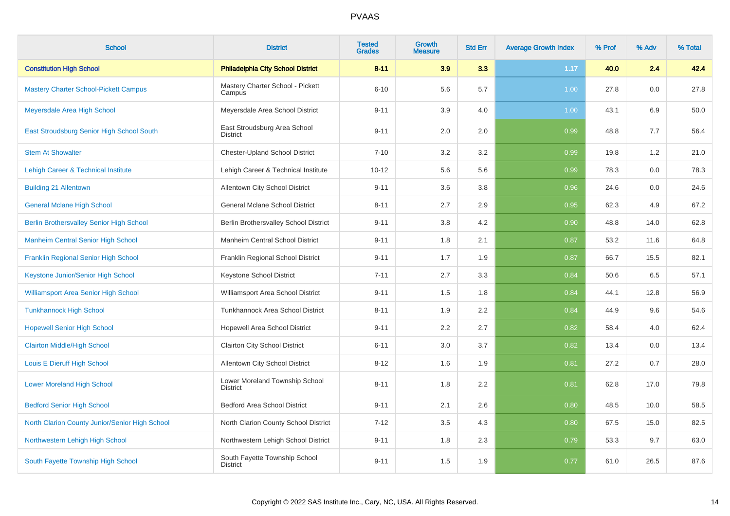| <b>School</b>                                   | <b>District</b>                                   | <b>Tested</b><br><b>Grades</b> | Growth<br><b>Measure</b> | <b>Std Err</b> | <b>Average Growth Index</b> | % Prof | % Adv | % Total |
|-------------------------------------------------|---------------------------------------------------|--------------------------------|--------------------------|----------------|-----------------------------|--------|-------|---------|
| <b>Constitution High School</b>                 | <b>Philadelphia City School District</b>          | $8 - 11$                       | 3.9                      | 3.3            | 1.17                        | 40.0   | 2.4   | 42.4    |
| <b>Mastery Charter School-Pickett Campus</b>    | Mastery Charter School - Pickett<br>Campus        | $6 - 10$                       | 5.6                      | 5.7            | 1.00                        | 27.8   | 0.0   | 27.8    |
| Meyersdale Area High School                     | Meyersdale Area School District                   | $9 - 11$                       | 3.9                      | 4.0            | 1.00                        | 43.1   | 6.9   | 50.0    |
| East Stroudsburg Senior High School South       | East Stroudsburg Area School<br>District          | $9 - 11$                       | 2.0                      | 2.0            | 0.99                        | 48.8   | 7.7   | 56.4    |
| <b>Stem At Showalter</b>                        | <b>Chester-Upland School District</b>             | $7 - 10$                       | 3.2                      | 3.2            | 0.99                        | 19.8   | 1.2   | 21.0    |
| <b>Lehigh Career &amp; Technical Institute</b>  | Lehigh Career & Technical Institute               | $10 - 12$                      | 5.6                      | 5.6            | 0.99                        | 78.3   | 0.0   | 78.3    |
| <b>Building 21 Allentown</b>                    | Allentown City School District                    | $9 - 11$                       | 3.6                      | 3.8            | 0.96                        | 24.6   | 0.0   | 24.6    |
| <b>General Mclane High School</b>               | <b>General Mclane School District</b>             | $8 - 11$                       | 2.7                      | 2.9            | 0.95                        | 62.3   | 4.9   | 67.2    |
| <b>Berlin Brothersvalley Senior High School</b> | Berlin Brothersvalley School District             | $9 - 11$                       | 3.8                      | 4.2            | 0.90                        | 48.8   | 14.0  | 62.8    |
| <b>Manheim Central Senior High School</b>       | Manheim Central School District                   | $9 - 11$                       | 1.8                      | 2.1            | 0.87                        | 53.2   | 11.6  | 64.8    |
| <b>Franklin Regional Senior High School</b>     | Franklin Regional School District                 | $9 - 11$                       | 1.7                      | 1.9            | 0.87                        | 66.7   | 15.5  | 82.1    |
| Keystone Junior/Senior High School              | Keystone School District                          | $7 - 11$                       | 2.7                      | 3.3            | 0.84                        | 50.6   | 6.5   | 57.1    |
| <b>Williamsport Area Senior High School</b>     | Williamsport Area School District                 | $9 - 11$                       | 1.5                      | 1.8            | 0.84                        | 44.1   | 12.8  | 56.9    |
| <b>Tunkhannock High School</b>                  | <b>Tunkhannock Area School District</b>           | $8 - 11$                       | 1.9                      | 2.2            | 0.84                        | 44.9   | 9.6   | 54.6    |
| <b>Hopewell Senior High School</b>              | Hopewell Area School District                     | $9 - 11$                       | 2.2                      | 2.7            | 0.82                        | 58.4   | 4.0   | 62.4    |
| <b>Clairton Middle/High School</b>              | <b>Clairton City School District</b>              | $6 - 11$                       | 3.0                      | 3.7            | 0.82                        | 13.4   | 0.0   | 13.4    |
| Louis E Dieruff High School                     | Allentown City School District                    | $8 - 12$                       | 1.6                      | 1.9            | 0.81                        | 27.2   | 0.7   | 28.0    |
| <b>Lower Moreland High School</b>               | Lower Moreland Township School<br><b>District</b> | $8 - 11$                       | 1.8                      | 2.2            | 0.81                        | 62.8   | 17.0  | 79.8    |
| <b>Bedford Senior High School</b>               | <b>Bedford Area School District</b>               | $9 - 11$                       | 2.1                      | 2.6            | 0.80                        | 48.5   | 10.0  | 58.5    |
| North Clarion County Junior/Senior High School  | North Clarion County School District              | $7 - 12$                       | 3.5                      | 4.3            | 0.80                        | 67.5   | 15.0  | 82.5    |
| Northwestern Lehigh High School                 | Northwestern Lehigh School District               | $9 - 11$                       | 1.8                      | 2.3            | 0.79                        | 53.3   | 9.7   | 63.0    |
| South Fayette Township High School              | South Fayette Township School<br><b>District</b>  | $9 - 11$                       | 1.5                      | 1.9            | 0.77                        | 61.0   | 26.5  | 87.6    |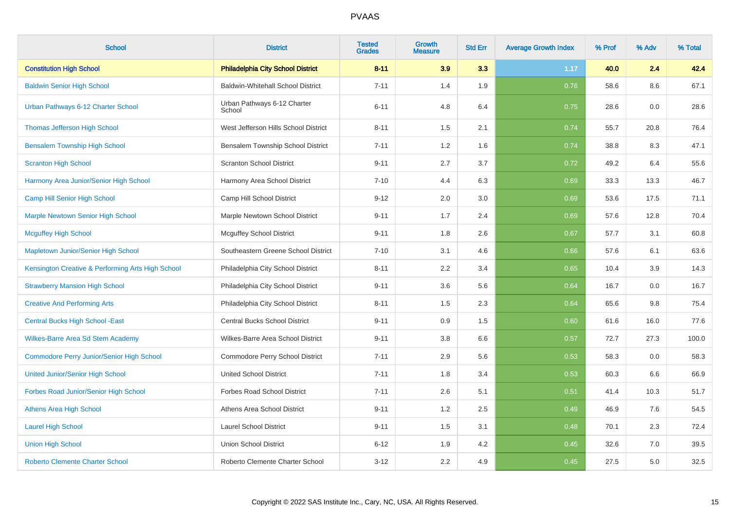| <b>School</b>                                     | <b>District</b>                          | <b>Tested</b><br><b>Grades</b> | <b>Growth</b><br><b>Measure</b> | <b>Std Err</b> | <b>Average Growth Index</b> | % Prof | % Adv | % Total |
|---------------------------------------------------|------------------------------------------|--------------------------------|---------------------------------|----------------|-----------------------------|--------|-------|---------|
| <b>Constitution High School</b>                   | <b>Philadelphia City School District</b> | $8 - 11$                       | 3.9                             | 3.3            | 1.17                        | 40.0   | 2.4   | 42.4    |
| <b>Baldwin Senior High School</b>                 | <b>Baldwin-Whitehall School District</b> | $7 - 11$                       | 1.4                             | 1.9            | 0.76                        | 58.6   | 8.6   | 67.1    |
| Urban Pathways 6-12 Charter School                | Urban Pathways 6-12 Charter<br>School    | $6 - 11$                       | 4.8                             | 6.4            | 0.75                        | 28.6   | 0.0   | 28.6    |
| <b>Thomas Jefferson High School</b>               | West Jefferson Hills School District     | $8 - 11$                       | 1.5                             | 2.1            | 0.74                        | 55.7   | 20.8  | 76.4    |
| <b>Bensalem Township High School</b>              | Bensalem Township School District        | $7 - 11$                       | 1.2                             | 1.6            | 0.74                        | 38.8   | 8.3   | 47.1    |
| <b>Scranton High School</b>                       | <b>Scranton School District</b>          | $9 - 11$                       | 2.7                             | 3.7            | 0.72                        | 49.2   | 6.4   | 55.6    |
| Harmony Area Junior/Senior High School            | Harmony Area School District             | $7 - 10$                       | 4.4                             | 6.3            | 0.69                        | 33.3   | 13.3  | 46.7    |
| Camp Hill Senior High School                      | Camp Hill School District                | $9 - 12$                       | 2.0                             | 3.0            | 0.69                        | 53.6   | 17.5  | 71.1    |
| <b>Marple Newtown Senior High School</b>          | Marple Newtown School District           | $9 - 11$                       | 1.7                             | 2.4            | 0.69                        | 57.6   | 12.8  | 70.4    |
| <b>Mcguffey High School</b>                       | <b>Mcguffey School District</b>          | $9 - 11$                       | 1.8                             | 2.6            | 0.67                        | 57.7   | 3.1   | 60.8    |
| Mapletown Junior/Senior High School               | Southeastern Greene School District      | $7 - 10$                       | 3.1                             | 4.6            | 0.66                        | 57.6   | 6.1   | 63.6    |
| Kensington Creative & Performing Arts High School | Philadelphia City School District        | $8 - 11$                       | 2.2                             | 3.4            | 0.65                        | 10.4   | 3.9   | 14.3    |
| <b>Strawberry Mansion High School</b>             | Philadelphia City School District        | $9 - 11$                       | 3.6                             | 5.6            | 0.64                        | 16.7   | 0.0   | 16.7    |
| <b>Creative And Performing Arts</b>               | Philadelphia City School District        | $8 - 11$                       | 1.5                             | 2.3            | 0.64                        | 65.6   | 9.8   | 75.4    |
| <b>Central Bucks High School - East</b>           | Central Bucks School District            | $9 - 11$                       | 0.9                             | 1.5            | 0.60                        | 61.6   | 16.0  | 77.6    |
| Wilkes-Barre Area Sd Stem Academy                 | Wilkes-Barre Area School District        | $9 - 11$                       | 3.8                             | 6.6            | 0.57                        | 72.7   | 27.3  | 100.0   |
| <b>Commodore Perry Junior/Senior High School</b>  | Commodore Perry School District          | $7 - 11$                       | 2.9                             | 5.6            | 0.53                        | 58.3   | 0.0   | 58.3    |
| <b>United Junior/Senior High School</b>           | <b>United School District</b>            | $7 - 11$                       | 1.8                             | 3.4            | 0.53                        | 60.3   | 6.6   | 66.9    |
| Forbes Road Junior/Senior High School             | <b>Forbes Road School District</b>       | $7 - 11$                       | 2.6                             | 5.1            | 0.51                        | 41.4   | 10.3  | 51.7    |
| <b>Athens Area High School</b>                    | Athens Area School District              | $9 - 11$                       | 1.2                             | 2.5            | 0.49                        | 46.9   | 7.6   | 54.5    |
| <b>Laurel High School</b>                         | <b>Laurel School District</b>            | $9 - 11$                       | 1.5                             | 3.1            | 0.48                        | 70.1   | 2.3   | 72.4    |
| <b>Union High School</b>                          | <b>Union School District</b>             | $6 - 12$                       | 1.9                             | 4.2            | 0.45                        | 32.6   | 7.0   | 39.5    |
| <b>Roberto Clemente Charter School</b>            | Roberto Clemente Charter School          | $3 - 12$                       | 2.2                             | 4.9            | 0.45                        | 27.5   | 5.0   | 32.5    |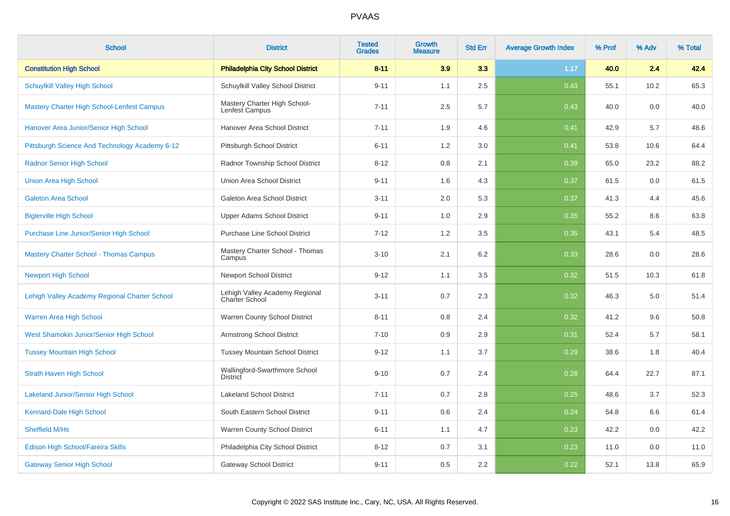| <b>School</b>                                     | <b>District</b>                                         | <b>Tested</b><br><b>Grades</b> | <b>Growth</b><br><b>Measure</b> | <b>Std Err</b> | <b>Average Growth Index</b> | % Prof | % Adv | % Total |
|---------------------------------------------------|---------------------------------------------------------|--------------------------------|---------------------------------|----------------|-----------------------------|--------|-------|---------|
| <b>Constitution High School</b>                   | <b>Philadelphia City School District</b>                | $8 - 11$                       | 3.9                             | 3.3            | 1.17                        | 40.0   | 2.4   | 42.4    |
| <b>Schuylkill Valley High School</b>              | Schuylkill Valley School District                       | $9 - 11$                       | 1.1                             | 2.5            | 0.43                        | 55.1   | 10.2  | 65.3    |
| <b>Mastery Charter High School-Lenfest Campus</b> | Mastery Charter High School-<br>Lenfest Campus          | $7 - 11$                       | 2.5                             | 5.7            | 0.43                        | 40.0   | 0.0   | 40.0    |
| Hanover Area Junior/Senior High School            | Hanover Area School District                            | $7 - 11$                       | 1.9                             | 4.6            | 0.41                        | 42.9   | 5.7   | 48.6    |
| Pittsburgh Science And Technology Academy 6-12    | Pittsburgh School District                              | $6 - 11$                       | 1.2                             | 3.0            | 0.41                        | 53.8   | 10.6  | 64.4    |
| <b>Radnor Senior High School</b>                  | Radnor Township School District                         | $8 - 12$                       | 0.8                             | 2.1            | 0.39                        | 65.0   | 23.2  | 88.2    |
| <b>Union Area High School</b>                     | Union Area School District                              | $9 - 11$                       | 1.6                             | 4.3            | 0.37                        | 61.5   | 0.0   | 61.5    |
| <b>Galeton Area School</b>                        | Galeton Area School District                            | $3 - 11$                       | 2.0                             | 5.3            | 0.37                        | 41.3   | 4.4   | 45.6    |
| <b>Biglerville High School</b>                    | <b>Upper Adams School District</b>                      | $9 - 11$                       | 1.0                             | 2.9            | 0.35                        | 55.2   | 8.6   | 63.8    |
| Purchase Line Junior/Senior High School           | <b>Purchase Line School District</b>                    | $7 - 12$                       | 1.2                             | 3.5            | 0.35                        | 43.1   | 5.4   | 48.5    |
| <b>Mastery Charter School - Thomas Campus</b>     | Mastery Charter School - Thomas<br>Campus               | $3 - 10$                       | 2.1                             | 6.2            | 0.33                        | 28.6   | 0.0   | 28.6    |
| <b>Newport High School</b>                        | <b>Newport School District</b>                          | $9 - 12$                       | 1.1                             | 3.5            | 0.32                        | 51.5   | 10.3  | 61.8    |
| Lehigh Valley Academy Regional Charter School     | Lehigh Valley Academy Regional<br><b>Charter School</b> | $3 - 11$                       | 0.7                             | 2.3            | 0.32                        | 46.3   | 5.0   | 51.4    |
| Warren Area High School                           | Warren County School District                           | $8 - 11$                       | 0.8                             | 2.4            | 0.32                        | 41.2   | 9.6   | 50.8    |
| West Shamokin Junior/Senior High School           | <b>Armstrong School District</b>                        | $7 - 10$                       | 0.9                             | 2.9            | 0.31                        | 52.4   | 5.7   | 58.1    |
| <b>Tussey Mountain High School</b>                | <b>Tussey Mountain School District</b>                  | $9 - 12$                       | 1.1                             | 3.7            | 0.29                        | 38.6   | 1.8   | 40.4    |
| <b>Strath Haven High School</b>                   | Wallingford-Swarthmore School<br><b>District</b>        | $9 - 10$                       | 0.7                             | 2.4            | 0.28                        | 64.4   | 22.7  | 87.1    |
| <b>Lakeland Junior/Senior High School</b>         | <b>Lakeland School District</b>                         | $7 - 11$                       | 0.7                             | 2.8            | 0.25                        | 48.6   | 3.7   | 52.3    |
| Kennard-Dale High School                          | South Eastern School District                           | $9 - 11$                       | 0.6                             | 2.4            | 0.24                        | 54.8   | 6.6   | 61.4    |
| Sheffield M/Hs                                    | Warren County School District                           | $6 - 11$                       | 1.1                             | 4.7            | 0.23                        | 42.2   | 0.0   | 42.2    |
| Edison High School/Fareira Skills                 | Philadelphia City School District                       | $8 - 12$                       | 0.7                             | 3.1            | 0.23                        | 11.0   | 0.0   | 11.0    |
| <b>Gateway Senior High School</b>                 | <b>Gateway School District</b>                          | $9 - 11$                       | 0.5                             | 2.2            | 0.22                        | 52.1   | 13.8  | 65.9    |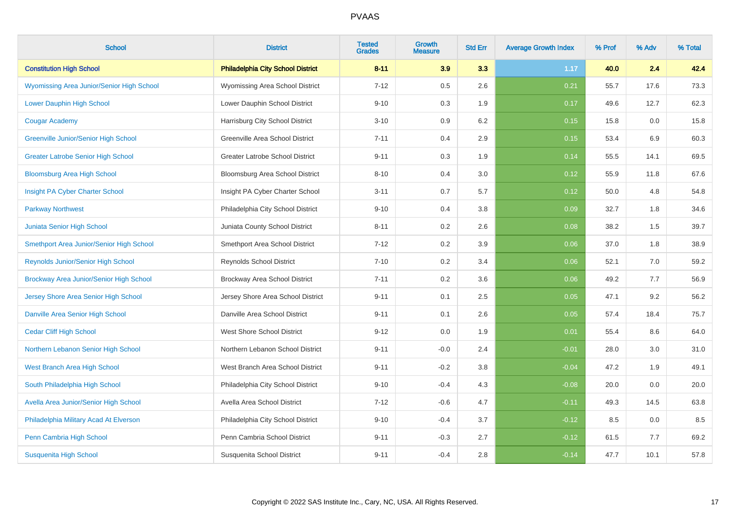| <b>School</b>                               | <b>District</b>                          | <b>Tested</b><br><b>Grades</b> | <b>Growth</b><br><b>Measure</b> | <b>Std Err</b> | <b>Average Growth Index</b> | % Prof | % Adv | % Total |
|---------------------------------------------|------------------------------------------|--------------------------------|---------------------------------|----------------|-----------------------------|--------|-------|---------|
| <b>Constitution High School</b>             | <b>Philadelphia City School District</b> | $8 - 11$                       | 3.9                             | 3.3            | 1.17                        | 40.0   | 2.4   | 42.4    |
| Wyomissing Area Junior/Senior High School   | Wyomissing Area School District          | $7 - 12$                       | 0.5                             | 2.6            | 0.21                        | 55.7   | 17.6  | 73.3    |
| Lower Dauphin High School                   | Lower Dauphin School District            | $9 - 10$                       | 0.3                             | 1.9            | 0.17                        | 49.6   | 12.7  | 62.3    |
| <b>Cougar Academy</b>                       | Harrisburg City School District          | $3 - 10$                       | 0.9                             | 6.2            | 0.15                        | 15.8   | 0.0   | 15.8    |
| <b>Greenville Junior/Senior High School</b> | Greenville Area School District          | $7 - 11$                       | 0.4                             | 2.9            | 0.15                        | 53.4   | 6.9   | 60.3    |
| <b>Greater Latrobe Senior High School</b>   | <b>Greater Latrobe School District</b>   | $9 - 11$                       | 0.3                             | 1.9            | 0.14                        | 55.5   | 14.1  | 69.5    |
| <b>Bloomsburg Area High School</b>          | Bloomsburg Area School District          | $8 - 10$                       | 0.4                             | 3.0            | 0.12                        | 55.9   | 11.8  | 67.6    |
| Insight PA Cyber Charter School             | Insight PA Cyber Charter School          | $3 - 11$                       | 0.7                             | 5.7            | 0.12                        | 50.0   | 4.8   | 54.8    |
| <b>Parkway Northwest</b>                    | Philadelphia City School District        | $9 - 10$                       | 0.4                             | 3.8            | 0.09                        | 32.7   | 1.8   | 34.6    |
| Juniata Senior High School                  | Juniata County School District           | $8 - 11$                       | 0.2                             | 2.6            | 0.08                        | 38.2   | 1.5   | 39.7    |
| Smethport Area Junior/Senior High School    | Smethport Area School District           | $7 - 12$                       | 0.2                             | 3.9            | 0.06                        | 37.0   | 1.8   | 38.9    |
| Reynolds Junior/Senior High School          | <b>Reynolds School District</b>          | $7 - 10$                       | 0.2                             | 3.4            | 0.06                        | 52.1   | 7.0   | 59.2    |
| Brockway Area Junior/Senior High School     | Brockway Area School District            | $7 - 11$                       | 0.2                             | 3.6            | 0.06                        | 49.2   | 7.7   | 56.9    |
| Jersey Shore Area Senior High School        | Jersey Shore Area School District        | $9 - 11$                       | 0.1                             | 2.5            | 0.05                        | 47.1   | 9.2   | 56.2    |
| Danville Area Senior High School            | Danville Area School District            | $9 - 11$                       | 0.1                             | 2.6            | 0.05                        | 57.4   | 18.4  | 75.7    |
| <b>Cedar Cliff High School</b>              | <b>West Shore School District</b>        | $9 - 12$                       | 0.0                             | 1.9            | 0.01                        | 55.4   | 8.6   | 64.0    |
| Northern Lebanon Senior High School         | Northern Lebanon School District         | $9 - 11$                       | $-0.0$                          | 2.4            | $-0.01$                     | 28.0   | 3.0   | 31.0    |
| West Branch Area High School                | West Branch Area School District         | $9 - 11$                       | $-0.2$                          | 3.8            | $-0.04$                     | 47.2   | 1.9   | 49.1    |
| South Philadelphia High School              | Philadelphia City School District        | $9 - 10$                       | $-0.4$                          | 4.3            | $-0.08$                     | 20.0   | 0.0   | 20.0    |
| Avella Area Junior/Senior High School       | Avella Area School District              | $7 - 12$                       | $-0.6$                          | 4.7            | $-0.11$                     | 49.3   | 14.5  | 63.8    |
| Philadelphia Military Acad At Elverson      | Philadelphia City School District        | $9 - 10$                       | $-0.4$                          | 3.7            | $-0.12$                     | 8.5    | 0.0   | 8.5     |
| Penn Cambria High School                    | Penn Cambria School District             | $9 - 11$                       | $-0.3$                          | 2.7            | $-0.12$                     | 61.5   | 7.7   | 69.2    |
| <b>Susquenita High School</b>               | Susquenita School District               | $9 - 11$                       | $-0.4$                          | 2.8            | $-0.14$                     | 47.7   | 10.1  | 57.8    |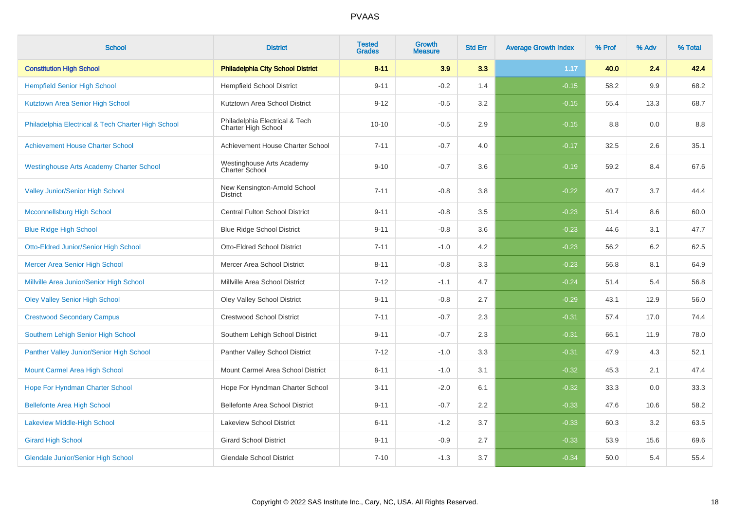| <b>School</b>                                      | <b>District</b>                                       | <b>Tested</b><br><b>Grades</b> | <b>Growth</b><br><b>Measure</b> | <b>Std Err</b> | <b>Average Growth Index</b> | % Prof | % Adv | % Total |
|----------------------------------------------------|-------------------------------------------------------|--------------------------------|---------------------------------|----------------|-----------------------------|--------|-------|---------|
| <b>Constitution High School</b>                    | <b>Philadelphia City School District</b>              | $8 - 11$                       | 3.9                             | 3.3            | 1.17                        | 40.0   | 2.4   | 42.4    |
| <b>Hempfield Senior High School</b>                | <b>Hempfield School District</b>                      | $9 - 11$                       | $-0.2$                          | 1.4            | $-0.15$                     | 58.2   | 9.9   | 68.2    |
| Kutztown Area Senior High School                   | Kutztown Area School District                         | $9 - 12$                       | $-0.5$                          | 3.2            | $-0.15$                     | 55.4   | 13.3  | 68.7    |
| Philadelphia Electrical & Tech Charter High School | Philadelphia Electrical & Tech<br>Charter High School | $10 - 10$                      | $-0.5$                          | 2.9            | $-0.15$                     | 8.8    | 0.0   | 8.8     |
| <b>Achievement House Charter School</b>            | Achievement House Charter School                      | $7 - 11$                       | $-0.7$                          | 4.0            | $-0.17$                     | 32.5   | 2.6   | 35.1    |
| <b>Westinghouse Arts Academy Charter School</b>    | Westinghouse Arts Academy<br>Charter School           | $9 - 10$                       | $-0.7$                          | 3.6            | $-0.19$                     | 59.2   | 8.4   | 67.6    |
| <b>Valley Junior/Senior High School</b>            | New Kensington-Arnold School<br><b>District</b>       | $7 - 11$                       | $-0.8$                          | 3.8            | $-0.22$                     | 40.7   | 3.7   | 44.4    |
| Mcconnellsburg High School                         | Central Fulton School District                        | $9 - 11$                       | $-0.8$                          | 3.5            | $-0.23$                     | 51.4   | 8.6   | 60.0    |
| <b>Blue Ridge High School</b>                      | <b>Blue Ridge School District</b>                     | $9 - 11$                       | $-0.8$                          | 3.6            | $-0.23$                     | 44.6   | 3.1   | 47.7    |
| <b>Otto-Eldred Junior/Senior High School</b>       | <b>Otto-Eldred School District</b>                    | $7 - 11$                       | $-1.0$                          | 4.2            | $-0.23$                     | 56.2   | 6.2   | 62.5    |
| Mercer Area Senior High School                     | Mercer Area School District                           | $8 - 11$                       | $-0.8$                          | 3.3            | $-0.23$                     | 56.8   | 8.1   | 64.9    |
| Millville Area Junior/Senior High School           | Millville Area School District                        | $7 - 12$                       | $-1.1$                          | 4.7            | $-0.24$                     | 51.4   | 5.4   | 56.8    |
| <b>Oley Valley Senior High School</b>              | Oley Valley School District                           | $9 - 11$                       | $-0.8$                          | 2.7            | $-0.29$                     | 43.1   | 12.9  | 56.0    |
| <b>Crestwood Secondary Campus</b>                  | <b>Crestwood School District</b>                      | $7 - 11$                       | $-0.7$                          | 2.3            | $-0.31$                     | 57.4   | 17.0  | 74.4    |
| Southern Lehigh Senior High School                 | Southern Lehigh School District                       | $9 - 11$                       | $-0.7$                          | 2.3            | $-0.31$                     | 66.1   | 11.9  | 78.0    |
| Panther Valley Junior/Senior High School           | Panther Valley School District                        | $7 - 12$                       | $-1.0$                          | 3.3            | $-0.31$                     | 47.9   | 4.3   | 52.1    |
| Mount Carmel Area High School                      | Mount Carmel Area School District                     | $6 - 11$                       | $-1.0$                          | 3.1            | $-0.32$                     | 45.3   | 2.1   | 47.4    |
| Hope For Hyndman Charter School                    | Hope For Hyndman Charter School                       | $3 - 11$                       | $-2.0$                          | 6.1            | $-0.32$                     | 33.3   | 0.0   | 33.3    |
| <b>Bellefonte Area High School</b>                 | Bellefonte Area School District                       | $9 - 11$                       | $-0.7$                          | 2.2            | $-0.33$                     | 47.6   | 10.6  | 58.2    |
| <b>Lakeview Middle-High School</b>                 | Lakeview School District                              | $6 - 11$                       | $-1.2$                          | 3.7            | $-0.33$                     | 60.3   | 3.2   | 63.5    |
| <b>Girard High School</b>                          | <b>Girard School District</b>                         | $9 - 11$                       | $-0.9$                          | 2.7            | $-0.33$                     | 53.9   | 15.6  | 69.6    |
| <b>Glendale Junior/Senior High School</b>          | <b>Glendale School District</b>                       | $7 - 10$                       | $-1.3$                          | 3.7            | $-0.34$                     | 50.0   | 5.4   | 55.4    |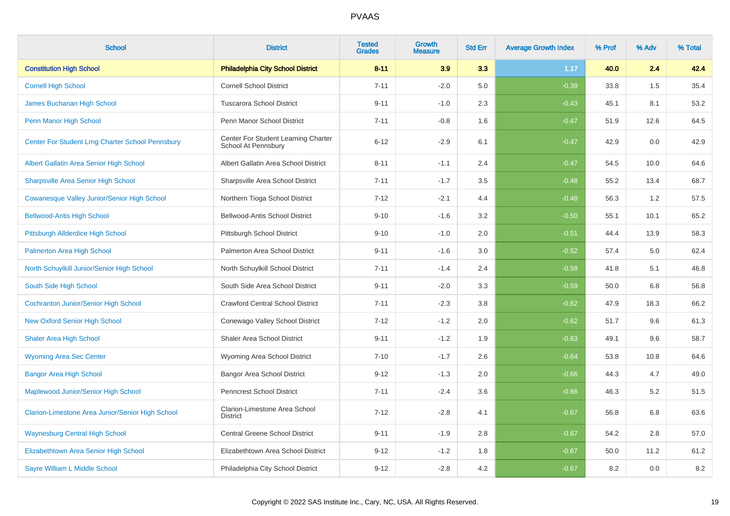| <b>School</b>                                    | <b>District</b>                                            | <b>Tested</b><br><b>Grades</b> | <b>Growth</b><br><b>Measure</b> | <b>Std Err</b> | <b>Average Growth Index</b> | % Prof | % Adv   | % Total |
|--------------------------------------------------|------------------------------------------------------------|--------------------------------|---------------------------------|----------------|-----------------------------|--------|---------|---------|
| <b>Constitution High School</b>                  | <b>Philadelphia City School District</b>                   | $8 - 11$                       | 3.9                             | 3.3            | 1.17                        | 40.0   | 2.4     | 42.4    |
| <b>Cornell High School</b>                       | <b>Cornell School District</b>                             | $7 - 11$                       | $-2.0$                          | 5.0            | $-0.39$                     | 33.8   | 1.5     | 35.4    |
| <b>James Buchanan High School</b>                | <b>Tuscarora School District</b>                           | $9 - 11$                       | $-1.0$                          | 2.3            | $-0.43$                     | 45.1   | 8.1     | 53.2    |
| Penn Manor High School                           | Penn Manor School District                                 | $7 - 11$                       | $-0.8$                          | 1.6            | $-0.47$                     | 51.9   | 12.6    | 64.5    |
| Center For Student Lrng Charter School Pennsbury | Center For Student Learning Charter<br>School At Pennsbury | $6 - 12$                       | $-2.9$                          | 6.1            | $-0.47$                     | 42.9   | 0.0     | 42.9    |
| Albert Gallatin Area Senior High School          | Albert Gallatin Area School District                       | $8 - 11$                       | $-1.1$                          | 2.4            | $-0.47$                     | 54.5   | 10.0    | 64.6    |
| <b>Sharpsville Area Senior High School</b>       | Sharpsville Area School District                           | $7 - 11$                       | $-1.7$                          | 3.5            | $-0.48$                     | 55.2   | 13.4    | 68.7    |
| Cowanesque Valley Junior/Senior High School      | Northern Tioga School District                             | $7 - 12$                       | $-2.1$                          | 4.4            | $-0.48$                     | 56.3   | 1.2     | 57.5    |
| <b>Bellwood-Antis High School</b>                | Bellwood-Antis School District                             | $9 - 10$                       | $-1.6$                          | 3.2            | $-0.50$                     | 55.1   | 10.1    | 65.2    |
| <b>Pittsburgh Allderdice High School</b>         | Pittsburgh School District                                 | $9 - 10$                       | $-1.0$                          | 2.0            | $-0.51$                     | 44.4   | 13.9    | 58.3    |
| Palmerton Area High School                       | Palmerton Area School District                             | $9 - 11$                       | $-1.6$                          | 3.0            | $-0.52$                     | 57.4   | $5.0\,$ | 62.4    |
| North Schuylkill Junior/Senior High School       | North Schuylkill School District                           | $7 - 11$                       | $-1.4$                          | 2.4            | $-0.58$                     | 41.8   | 5.1     | 46.8    |
| South Side High School                           | South Side Area School District                            | $9 - 11$                       | $-2.0$                          | 3.3            | $-0.59$                     | 50.0   | 6.8     | 56.8    |
| <b>Cochranton Junior/Senior High School</b>      | <b>Crawford Central School District</b>                    | $7 - 11$                       | $-2.3$                          | 3.8            | $-0.62$                     | 47.9   | 18.3    | 66.2    |
| <b>New Oxford Senior High School</b>             | Conewago Valley School District                            | $7 - 12$                       | $-1.2$                          | 2.0            | $-0.62$                     | 51.7   | 9.6     | 61.3    |
| <b>Shaler Area High School</b>                   | <b>Shaler Area School District</b>                         | $9 - 11$                       | $-1.2$                          | 1.9            | $-0.63$                     | 49.1   | 9.6     | 58.7    |
| <b>Wyoming Area Sec Center</b>                   | Wyoming Area School District                               | $7 - 10$                       | $-1.7$                          | 2.6            | $-0.64$                     | 53.8   | 10.8    | 64.6    |
| <b>Bangor Area High School</b>                   | <b>Bangor Area School District</b>                         | $9 - 12$                       | $-1.3$                          | 2.0            | $-0.66$                     | 44.3   | 4.7     | 49.0    |
| Maplewood Junior/Senior High School              | <b>Penncrest School District</b>                           | $7 - 11$                       | $-2.4$                          | 3.6            | $-0.66$                     | 46.3   | 5.2     | 51.5    |
| Clarion-Limestone Area Junior/Senior High School | Clarion-Limestone Area School<br><b>District</b>           | $7 - 12$                       | $-2.8$                          | 4.1            | $-0.67$                     | 56.8   | 6.8     | 63.6    |
| <b>Waynesburg Central High School</b>            | Central Greene School District                             | $9 - 11$                       | $-1.9$                          | 2.8            | $-0.67$                     | 54.2   | 2.8     | 57.0    |
| Elizabethtown Area Senior High School            | Elizabethtown Area School District                         | $9 - 12$                       | $-1.2$                          | 1.8            | $-0.67$                     | 50.0   | 11.2    | 61.2    |
| Sayre William L Middle School                    | Philadelphia City School District                          | $9 - 12$                       | $-2.8$                          | 4.2            | $-0.67$                     | 8.2    | 0.0     | $8.2\,$ |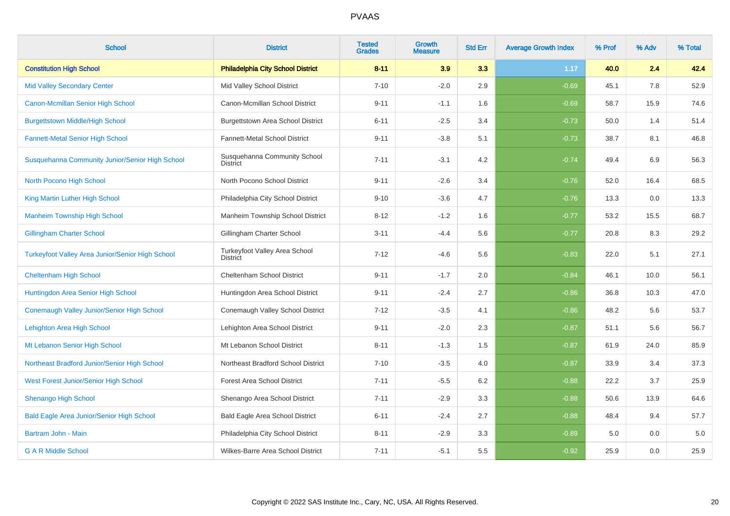| <b>School</b>                                           | <b>District</b>                                  | <b>Tested</b><br><b>Grades</b> | <b>Growth</b><br><b>Measure</b> | <b>Std Err</b> | <b>Average Growth Index</b> | % Prof | % Adv | % Total |
|---------------------------------------------------------|--------------------------------------------------|--------------------------------|---------------------------------|----------------|-----------------------------|--------|-------|---------|
| <b>Constitution High School</b>                         | <b>Philadelphia City School District</b>         | $8 - 11$                       | 3.9                             | 3.3            | 1.17                        | 40.0   | 2.4   | 42.4    |
| <b>Mid Valley Secondary Center</b>                      | Mid Valley School District                       | $7 - 10$                       | $-2.0$                          | 2.9            | $-0.69$                     | 45.1   | 7.8   | 52.9    |
| Canon-Mcmillan Senior High School                       | Canon-Mcmillan School District                   | $9 - 11$                       | $-1.1$                          | 1.6            | $-0.69$                     | 58.7   | 15.9  | 74.6    |
| <b>Burgettstown Middle/High School</b>                  | Burgettstown Area School District                | $6 - 11$                       | $-2.5$                          | 3.4            | $-0.73$                     | 50.0   | 1.4   | 51.4    |
| <b>Fannett-Metal Senior High School</b>                 | Fannett-Metal School District                    | $9 - 11$                       | $-3.8$                          | 5.1            | $-0.73$                     | 38.7   | 8.1   | 46.8    |
| Susquehanna Community Junior/Senior High School         | Susquehanna Community School<br><b>District</b>  | $7 - 11$                       | $-3.1$                          | 4.2            | $-0.74$                     | 49.4   | 6.9   | 56.3    |
| North Pocono High School                                | North Pocono School District                     | $9 - 11$                       | $-2.6$                          | 3.4            | $-0.76$                     | 52.0   | 16.4  | 68.5    |
| King Martin Luther High School                          | Philadelphia City School District                | $9 - 10$                       | $-3.6$                          | 4.7            | $-0.76$                     | 13.3   | 0.0   | 13.3    |
| <b>Manheim Township High School</b>                     | Manheim Township School District                 | $8 - 12$                       | $-1.2$                          | 1.6            | $-0.77$                     | 53.2   | 15.5  | 68.7    |
| <b>Gillingham Charter School</b>                        | Gillingham Charter School                        | $3 - 11$                       | $-4.4$                          | 5.6            | $-0.77$                     | 20.8   | 8.3   | 29.2    |
| <b>Turkeyfoot Valley Area Junior/Senior High School</b> | Turkeyfoot Valley Area School<br><b>District</b> | $7 - 12$                       | $-4.6$                          | 5.6            | $-0.83$                     | 22.0   | 5.1   | 27.1    |
| <b>Cheltenham High School</b>                           | Cheltenham School District                       | $9 - 11$                       | $-1.7$                          | 2.0            | $-0.84$                     | 46.1   | 10.0  | 56.1    |
| Huntingdon Area Senior High School                      | Huntingdon Area School District                  | $9 - 11$                       | $-2.4$                          | 2.7            | $-0.86$                     | 36.8   | 10.3  | 47.0    |
| Conemaugh Valley Junior/Senior High School              | Conemaugh Valley School District                 | $7 - 12$                       | $-3.5$                          | 4.1            | $-0.86$                     | 48.2   | 5.6   | 53.7    |
| Lehighton Area High School                              | Lehighton Area School District                   | $9 - 11$                       | $-2.0$                          | 2.3            | $-0.87$                     | 51.1   | 5.6   | 56.7    |
| Mt Lebanon Senior High School                           | Mt Lebanon School District                       | $8 - 11$                       | $-1.3$                          | 1.5            | $-0.87$                     | 61.9   | 24.0  | 85.9    |
| Northeast Bradford Junior/Senior High School            | Northeast Bradford School District               | $7 - 10$                       | $-3.5$                          | 4.0            | $-0.87$                     | 33.9   | 3.4   | 37.3    |
| West Forest Junior/Senior High School                   | <b>Forest Area School District</b>               | $7 - 11$                       | $-5.5$                          | 6.2            | $-0.88$                     | 22.2   | 3.7   | 25.9    |
| <b>Shenango High School</b>                             | Shenango Area School District                    | $7 - 11$                       | $-2.9$                          | 3.3            | $-0.88$                     | 50.6   | 13.9  | 64.6    |
| <b>Bald Eagle Area Junior/Senior High School</b>        | Bald Eagle Area School District                  | $6 - 11$                       | $-2.4$                          | 2.7            | $-0.88$                     | 48.4   | 9.4   | 57.7    |
| Bartram John - Main                                     | Philadelphia City School District                | $8 - 11$                       | $-2.9$                          | 3.3            | $-0.89$                     | 5.0    | 0.0   | 5.0     |
| <b>G A R Middle School</b>                              | Wilkes-Barre Area School District                | $7 - 11$                       | $-5.1$                          | 5.5            | $-0.92$                     | 25.9   | 0.0   | 25.9    |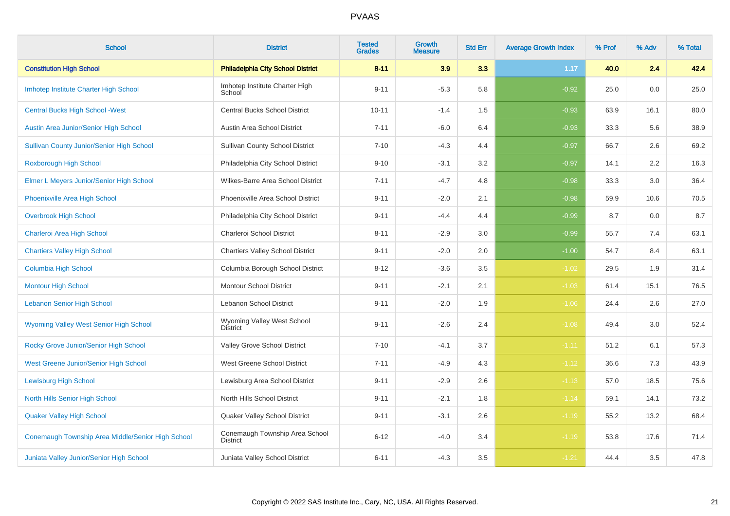| <b>School</b>                                     | <b>District</b>                                   | <b>Tested</b><br><b>Grades</b> | <b>Growth</b><br><b>Measure</b> | <b>Std Err</b> | <b>Average Growth Index</b> | % Prof | % Adv | % Total |
|---------------------------------------------------|---------------------------------------------------|--------------------------------|---------------------------------|----------------|-----------------------------|--------|-------|---------|
| <b>Constitution High School</b>                   | <b>Philadelphia City School District</b>          | $8 - 11$                       | 3.9                             | 3.3            | 1.17                        | 40.0   | 2.4   | 42.4    |
| Imhotep Institute Charter High School             | Imhotep Institute Charter High<br>School          | $9 - 11$                       | $-5.3$                          | 5.8            | $-0.92$                     | 25.0   | 0.0   | 25.0    |
| <b>Central Bucks High School - West</b>           | Central Bucks School District                     | $10 - 11$                      | $-1.4$                          | 1.5            | $-0.93$                     | 63.9   | 16.1  | 80.0    |
| Austin Area Junior/Senior High School             | Austin Area School District                       | $7 - 11$                       | $-6.0$                          | 6.4            | $-0.93$                     | 33.3   | 5.6   | 38.9    |
| <b>Sullivan County Junior/Senior High School</b>  | <b>Sullivan County School District</b>            | $7 - 10$                       | $-4.3$                          | 4.4            | $-0.97$                     | 66.7   | 2.6   | 69.2    |
| Roxborough High School                            | Philadelphia City School District                 | $9 - 10$                       | $-3.1$                          | 3.2            | $-0.97$                     | 14.1   | 2.2   | 16.3    |
| Elmer L Meyers Junior/Senior High School          | Wilkes-Barre Area School District                 | $7 - 11$                       | $-4.7$                          | 4.8            | $-0.98$                     | 33.3   | 3.0   | 36.4    |
| <b>Phoenixville Area High School</b>              | Phoenixville Area School District                 | $9 - 11$                       | $-2.0$                          | 2.1            | $-0.98$                     | 59.9   | 10.6  | 70.5    |
| <b>Overbrook High School</b>                      | Philadelphia City School District                 | $9 - 11$                       | $-4.4$                          | 4.4            | $-0.99$                     | 8.7    | 0.0   | 8.7     |
| Charleroi Area High School                        | Charleroi School District                         | $8 - 11$                       | $-2.9$                          | 3.0            | $-0.99$                     | 55.7   | 7.4   | 63.1    |
| <b>Chartiers Valley High School</b>               | <b>Chartiers Valley School District</b>           | $9 - 11$                       | $-2.0$                          | 2.0            | $-1.00$                     | 54.7   | 8.4   | 63.1    |
| <b>Columbia High School</b>                       | Columbia Borough School District                  | $8 - 12$                       | $-3.6$                          | 3.5            | $-1.02$                     | 29.5   | 1.9   | 31.4    |
| <b>Montour High School</b>                        | <b>Montour School District</b>                    | $9 - 11$                       | $-2.1$                          | 2.1            | $-1.03$                     | 61.4   | 15.1  | 76.5    |
| <b>Lebanon Senior High School</b>                 | <b>Lebanon School District</b>                    | $9 - 11$                       | $-2.0$                          | 1.9            | $-1.06$                     | 24.4   | 2.6   | 27.0    |
| Wyoming Valley West Senior High School            | Wyoming Valley West School<br><b>District</b>     | $9 - 11$                       | $-2.6$                          | 2.4            | $-1.08$                     | 49.4   | 3.0   | 52.4    |
| Rocky Grove Junior/Senior High School             | Valley Grove School District                      | $7 - 10$                       | $-4.1$                          | 3.7            | $-1.11$                     | 51.2   | 6.1   | 57.3    |
| West Greene Junior/Senior High School             | West Greene School District                       | $7 - 11$                       | $-4.9$                          | 4.3            | $-1.12$                     | 36.6   | 7.3   | 43.9    |
| <b>Lewisburg High School</b>                      | Lewisburg Area School District                    | $9 - 11$                       | $-2.9$                          | 2.6            | $-1.13$                     | 57.0   | 18.5  | 75.6    |
| <b>North Hills Senior High School</b>             | North Hills School District                       | $9 - 11$                       | $-2.1$                          | 1.8            | $-1.14$                     | 59.1   | 14.1  | 73.2    |
| <b>Quaker Valley High School</b>                  | Quaker Valley School District                     | $9 - 11$                       | $-3.1$                          | 2.6            | $-1.19$                     | 55.2   | 13.2  | 68.4    |
| Conemaugh Township Area Middle/Senior High School | Conemaugh Township Area School<br><b>District</b> | $6 - 12$                       | $-4.0$                          | 3.4            | $-1.19$                     | 53.8   | 17.6  | 71.4    |
| Juniata Valley Junior/Senior High School          | Juniata Valley School District                    | $6 - 11$                       | $-4.3$                          | 3.5            | $-1.21$                     | 44.4   | 3.5   | 47.8    |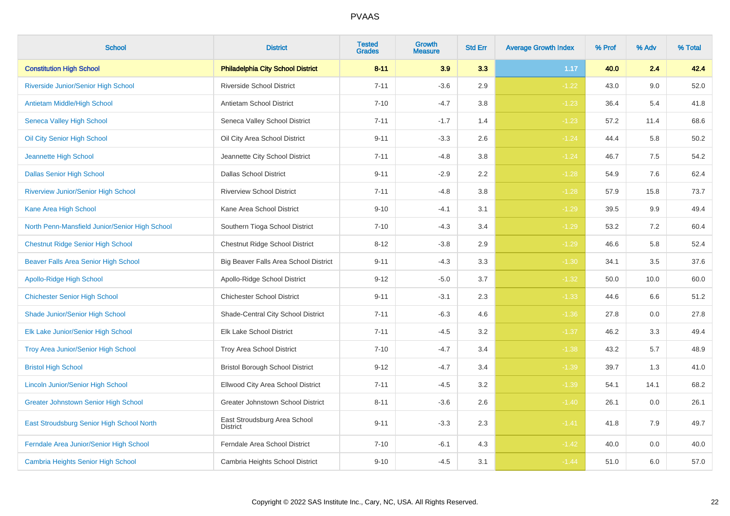| <b>School</b>                                  | <b>District</b>                                 | <b>Tested</b><br><b>Grades</b> | <b>Growth</b><br><b>Measure</b> | <b>Std Err</b> | <b>Average Growth Index</b> | % Prof | % Adv | % Total |
|------------------------------------------------|-------------------------------------------------|--------------------------------|---------------------------------|----------------|-----------------------------|--------|-------|---------|
| <b>Constitution High School</b>                | <b>Philadelphia City School District</b>        | $8 - 11$                       | 3.9                             | 3.3            | 1.17                        | 40.0   | 2.4   | 42.4    |
| Riverside Junior/Senior High School            | <b>Riverside School District</b>                | $7 - 11$                       | $-3.6$                          | 2.9            | $-1.22$                     | 43.0   | 9.0   | 52.0    |
| <b>Antietam Middle/High School</b>             | Antietam School District                        | $7 - 10$                       | $-4.7$                          | 3.8            | $-1.23$                     | 36.4   | 5.4   | 41.8    |
| <b>Seneca Valley High School</b>               | Seneca Valley School District                   | $7 - 11$                       | $-1.7$                          | 1.4            | $-1.23$                     | 57.2   | 11.4  | 68.6    |
| Oil City Senior High School                    | Oil City Area School District                   | $9 - 11$                       | $-3.3$                          | 2.6            | $-1.24$                     | 44.4   | 5.8   | 50.2    |
| Jeannette High School                          | Jeannette City School District                  | $7 - 11$                       | $-4.8$                          | 3.8            | $-1.24$                     | 46.7   | 7.5   | 54.2    |
| <b>Dallas Senior High School</b>               | <b>Dallas School District</b>                   | $9 - 11$                       | $-2.9$                          | 2.2            | $-1.28$                     | 54.9   | 7.6   | 62.4    |
| <b>Riverview Junior/Senior High School</b>     | <b>Riverview School District</b>                | $7 - 11$                       | $-4.8$                          | 3.8            | $-1.28$                     | 57.9   | 15.8  | 73.7    |
| Kane Area High School                          | Kane Area School District                       | $9 - 10$                       | $-4.1$                          | 3.1            | $-1.29$                     | 39.5   | 9.9   | 49.4    |
| North Penn-Mansfield Junior/Senior High School | Southern Tioga School District                  | $7 - 10$                       | $-4.3$                          | 3.4            | $-1.29$                     | 53.2   | 7.2   | 60.4    |
| <b>Chestnut Ridge Senior High School</b>       | Chestnut Ridge School District                  | $8 - 12$                       | $-3.8$                          | 2.9            | $-1.29$                     | 46.6   | 5.8   | 52.4    |
| Beaver Falls Area Senior High School           | Big Beaver Falls Area School District           | $9 - 11$                       | $-4.3$                          | 3.3            | $-1.30$                     | 34.1   | 3.5   | 37.6    |
| <b>Apollo-Ridge High School</b>                | Apollo-Ridge School District                    | $9 - 12$                       | $-5.0$                          | 3.7            | $-1.32$                     | 50.0   | 10.0  | 60.0    |
| <b>Chichester Senior High School</b>           | <b>Chichester School District</b>               | $9 - 11$                       | $-3.1$                          | 2.3            | $-1.33$                     | 44.6   | 6.6   | 51.2    |
| Shade Junior/Senior High School                | Shade-Central City School District              | $7 - 11$                       | $-6.3$                          | 4.6            | $-1.36$                     | 27.8   | 0.0   | 27.8    |
| Elk Lake Junior/Senior High School             | Elk Lake School District                        | $7 - 11$                       | $-4.5$                          | 3.2            | $-1.37$                     | 46.2   | 3.3   | 49.4    |
| Troy Area Junior/Senior High School            | Troy Area School District                       | $7 - 10$                       | $-4.7$                          | 3.4            | $-1.38$                     | 43.2   | 5.7   | 48.9    |
| <b>Bristol High School</b>                     | <b>Bristol Borough School District</b>          | $9 - 12$                       | $-4.7$                          | 3.4            | $-1.39$                     | 39.7   | 1.3   | 41.0    |
| <b>Lincoln Junior/Senior High School</b>       | Ellwood City Area School District               | $7 - 11$                       | $-4.5$                          | 3.2            | $-1.39$                     | 54.1   | 14.1  | 68.2    |
| <b>Greater Johnstown Senior High School</b>    | Greater Johnstown School District               | $8 - 11$                       | $-3.6$                          | 2.6            | $-1.40$                     | 26.1   | 0.0   | 26.1    |
| East Stroudsburg Senior High School North      | East Stroudsburg Area School<br><b>District</b> | $9 - 11$                       | $-3.3$                          | $2.3\,$        | $-1.41$                     | 41.8   | 7.9   | 49.7    |
| Ferndale Area Junior/Senior High School        | Ferndale Area School District                   | $7 - 10$                       | $-6.1$                          | 4.3            | $-1.42$                     | 40.0   | 0.0   | 40.0    |
| <b>Cambria Heights Senior High School</b>      | Cambria Heights School District                 | $9 - 10$                       | $-4.5$                          | 3.1            | $-1.44$                     | 51.0   | 6.0   | 57.0    |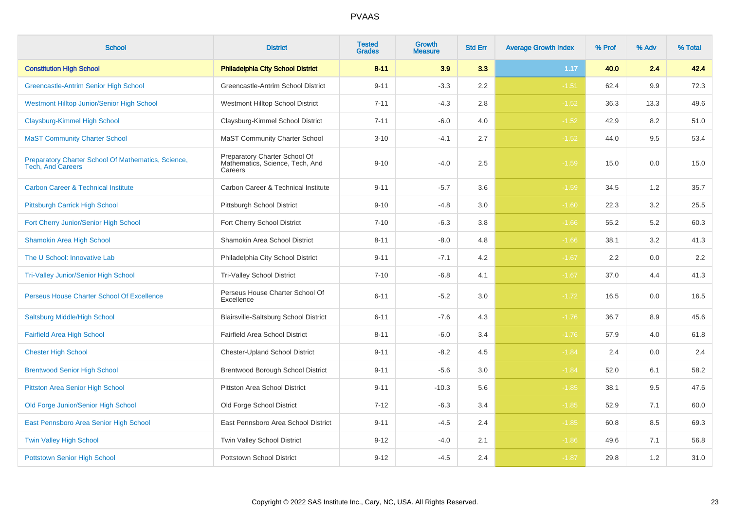| <b>School</b>                                                                   | <b>District</b>                                                             | <b>Tested</b><br><b>Grades</b> | <b>Growth</b><br><b>Measure</b> | <b>Std Err</b> | <b>Average Growth Index</b> | % Prof | % Adv | % Total |
|---------------------------------------------------------------------------------|-----------------------------------------------------------------------------|--------------------------------|---------------------------------|----------------|-----------------------------|--------|-------|---------|
| <b>Constitution High School</b>                                                 | <b>Philadelphia City School District</b>                                    | $8 - 11$                       | 3.9                             | 3.3            | 1.17                        | 40.0   | 2.4   | 42.4    |
| Greencastle-Antrim Senior High School                                           | Greencastle-Antrim School District                                          | $9 - 11$                       | $-3.3$                          | 2.2            | $-1.51$                     | 62.4   | 9.9   | 72.3    |
| <b>Westmont Hilltop Junior/Senior High School</b>                               | Westmont Hilltop School District                                            | $7 - 11$                       | $-4.3$                          | 2.8            | $-1.52$                     | 36.3   | 13.3  | 49.6    |
| <b>Claysburg-Kimmel High School</b>                                             | Claysburg-Kimmel School District                                            | $7 - 11$                       | $-6.0$                          | 4.0            | $-1.52$                     | 42.9   | 8.2   | 51.0    |
| <b>MaST Community Charter School</b>                                            | <b>MaST Community Charter School</b>                                        | $3 - 10$                       | $-4.1$                          | 2.7            | $-1.52$                     | 44.0   | 9.5   | 53.4    |
| Preparatory Charter School Of Mathematics, Science,<br><b>Tech, And Careers</b> | Preparatory Charter School Of<br>Mathematics, Science, Tech, And<br>Careers | $9 - 10$                       | $-4.0$                          | 2.5            | $-1.59$                     | 15.0   | 0.0   | 15.0    |
| <b>Carbon Career &amp; Technical Institute</b>                                  | Carbon Career & Technical Institute                                         | $9 - 11$                       | $-5.7$                          | 3.6            | $-1.59$                     | 34.5   | 1.2   | 35.7    |
| Pittsburgh Carrick High School                                                  | Pittsburgh School District                                                  | $9 - 10$                       | $-4.8$                          | 3.0            | $-1.60$                     | 22.3   | 3.2   | 25.5    |
| Fort Cherry Junior/Senior High School                                           | Fort Cherry School District                                                 | $7 - 10$                       | $-6.3$                          | 3.8            | $-1.66$                     | 55.2   | 5.2   | 60.3    |
| <b>Shamokin Area High School</b>                                                | Shamokin Area School District                                               | $8 - 11$                       | $-8.0$                          | 4.8            | $-1.66$                     | 38.1   | 3.2   | 41.3    |
| The U School: Innovative Lab                                                    | Philadelphia City School District                                           | $9 - 11$                       | $-7.1$                          | 4.2            | $-1.67$                     | 2.2    | 0.0   | 2.2     |
| <b>Tri-Valley Junior/Senior High School</b>                                     | Tri-Valley School District                                                  | $7 - 10$                       | $-6.8$                          | 4.1            | $-1.67$                     | 37.0   | 4.4   | 41.3    |
| Perseus House Charter School Of Excellence                                      | Perseus House Charter School Of<br>Excellence                               | $6 - 11$                       | $-5.2$                          | 3.0            | $-1.72$                     | 16.5   | 0.0   | 16.5    |
| Saltsburg Middle/High School                                                    | Blairsville-Saltsburg School District                                       | $6 - 11$                       | $-7.6$                          | 4.3            | $-1.76$                     | 36.7   | 8.9   | 45.6    |
| <b>Fairfield Area High School</b>                                               | Fairfield Area School District                                              | $8 - 11$                       | $-6.0$                          | 3.4            | $-1.76$                     | 57.9   | 4.0   | 61.8    |
| <b>Chester High School</b>                                                      | <b>Chester-Upland School District</b>                                       | $9 - 11$                       | $-8.2$                          | 4.5            | $-1.84$                     | 2.4    | 0.0   | 2.4     |
| <b>Brentwood Senior High School</b>                                             | <b>Brentwood Borough School District</b>                                    | $9 - 11$                       | $-5.6$                          | 3.0            | $-1.84$                     | 52.0   | 6.1   | 58.2    |
| <b>Pittston Area Senior High School</b>                                         | <b>Pittston Area School District</b>                                        | $9 - 11$                       | $-10.3$                         | 5.6            | $-1.85$                     | 38.1   | 9.5   | 47.6    |
| Old Forge Junior/Senior High School                                             | Old Forge School District                                                   | $7 - 12$                       | $-6.3$                          | 3.4            | $-1.85$                     | 52.9   | 7.1   | 60.0    |
| East Pennsboro Area Senior High School                                          | East Pennsboro Area School District                                         | $9 - 11$                       | $-4.5$                          | 2.4            | $-1.85$                     | 60.8   | 8.5   | 69.3    |
| <b>Twin Valley High School</b>                                                  | Twin Valley School District                                                 | $9 - 12$                       | $-4.0$                          | 2.1            | $-1.86$                     | 49.6   | 7.1   | 56.8    |
| <b>Pottstown Senior High School</b>                                             | <b>Pottstown School District</b>                                            | $9 - 12$                       | $-4.5$                          | 2.4            | $-1.87$                     | 29.8   | 1.2   | 31.0    |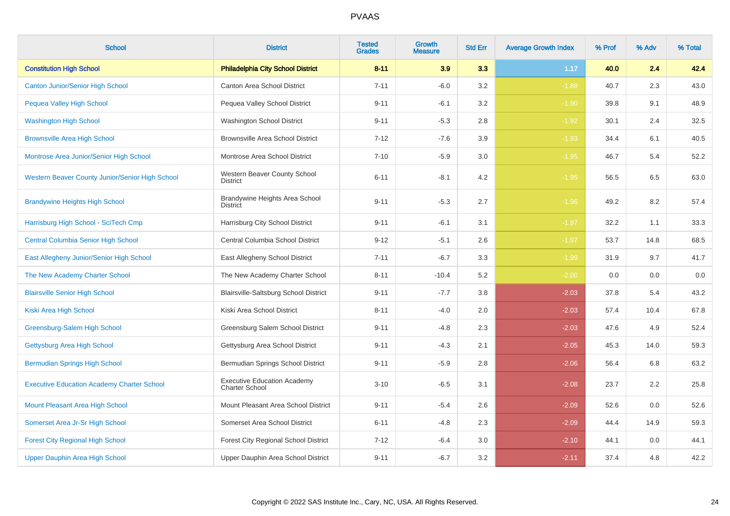| <b>School</b>                                     | <b>District</b>                                             | <b>Tested</b><br><b>Grades</b> | <b>Growth</b><br><b>Measure</b> | <b>Std Err</b> | <b>Average Growth Index</b> | % Prof | % Adv | % Total |
|---------------------------------------------------|-------------------------------------------------------------|--------------------------------|---------------------------------|----------------|-----------------------------|--------|-------|---------|
| <b>Constitution High School</b>                   | <b>Philadelphia City School District</b>                    | $8 - 11$                       | 3.9                             | 3.3            | 1.17                        | 40.0   | 2.4   | 42.4    |
| <b>Canton Junior/Senior High School</b>           | Canton Area School District                                 | $7 - 11$                       | $-6.0$                          | 3.2            | $-1.88$                     | 40.7   | 2.3   | 43.0    |
| <b>Pequea Valley High School</b>                  | Pequea Valley School District                               | $9 - 11$                       | $-6.1$                          | 3.2            | $-1.90$                     | 39.8   | 9.1   | 48.9    |
| <b>Washington High School</b>                     | <b>Washington School District</b>                           | $9 - 11$                       | $-5.3$                          | 2.8            | $-1.92$                     | 30.1   | 2.4   | 32.5    |
| <b>Brownsville Area High School</b>               | <b>Brownsville Area School District</b>                     | $7 - 12$                       | $-7.6$                          | 3.9            | $-1.93$                     | 34.4   | 6.1   | 40.5    |
| Montrose Area Junior/Senior High School           | Montrose Area School District                               | $7 - 10$                       | $-5.9$                          | 3.0            | $-1.95$                     | 46.7   | 5.4   | 52.2    |
| Western Beaver County Junior/Senior High School   | Western Beaver County School<br><b>District</b>             | $6 - 11$                       | $-8.1$                          | 4.2            | $-1.95$                     | 56.5   | 6.5   | 63.0    |
| <b>Brandywine Heights High School</b>             | Brandywine Heights Area School<br><b>District</b>           | $9 - 11$                       | $-5.3$                          | 2.7            | $-1.96$                     | 49.2   | 8.2   | 57.4    |
| Harrisburg High School - SciTech Cmp              | Harrisburg City School District                             | $9 - 11$                       | $-6.1$                          | 3.1            | $-1.97$                     | 32.2   | 1.1   | 33.3    |
| <b>Central Columbia Senior High School</b>        | Central Columbia School District                            | $9 - 12$                       | $-5.1$                          | 2.6            | $-1.97$                     | 53.7   | 14.8  | 68.5    |
| East Allegheny Junior/Senior High School          | East Allegheny School District                              | $7 - 11$                       | $-6.7$                          | 3.3            | $-1.99$                     | 31.9   | 9.7   | 41.7    |
| The New Academy Charter School                    | The New Academy Charter School                              | $8 - 11$                       | $-10.4$                         | 5.2            | $-2.00$                     | 0.0    | 0.0   | 0.0     |
| <b>Blairsville Senior High School</b>             | <b>Blairsville-Saltsburg School District</b>                | $9 - 11$                       | $-7.7$                          | 3.8            | $-2.03$                     | 37.8   | 5.4   | 43.2    |
| Kiski Area High School                            | Kiski Area School District                                  | $8 - 11$                       | $-4.0$                          | 2.0            | $-2.03$                     | 57.4   | 10.4  | 67.8    |
| Greensburg-Salem High School                      | Greensburg Salem School District                            | $9 - 11$                       | $-4.8$                          | 2.3            | $-2.03$                     | 47.6   | 4.9   | 52.4    |
| Gettysburg Area High School                       | Gettysburg Area School District                             | $9 - 11$                       | $-4.3$                          | 2.1            | $-2.05$                     | 45.3   | 14.0  | 59.3    |
| <b>Bermudian Springs High School</b>              | Bermudian Springs School District                           | $9 - 11$                       | $-5.9$                          | 2.8            | $-2.06$                     | 56.4   | 6.8   | 63.2    |
| <b>Executive Education Academy Charter School</b> | <b>Executive Education Academy</b><br><b>Charter School</b> | $3 - 10$                       | $-6.5$                          | 3.1            | $-2.08$                     | 23.7   | 2.2   | 25.8    |
| Mount Pleasant Area High School                   | Mount Pleasant Area School District                         | $9 - 11$                       | $-5.4$                          | 2.6            | $-2.09$                     | 52.6   | 0.0   | 52.6    |
| Somerset Area Jr-Sr High School                   | Somerset Area School District                               | $6 - 11$                       | $-4.8$                          | 2.3            | $-2.09$                     | 44.4   | 14.9  | 59.3    |
| <b>Forest City Regional High School</b>           | Forest City Regional School District                        | $7 - 12$                       | $-6.4$                          | 3.0            | $-2.10$                     | 44.1   | 0.0   | 44.1    |
| Upper Dauphin Area High School                    | Upper Dauphin Area School District                          | $9 - 11$                       | $-6.7$                          | 3.2            | $-2.11$                     | 37.4   | 4.8   | 42.2    |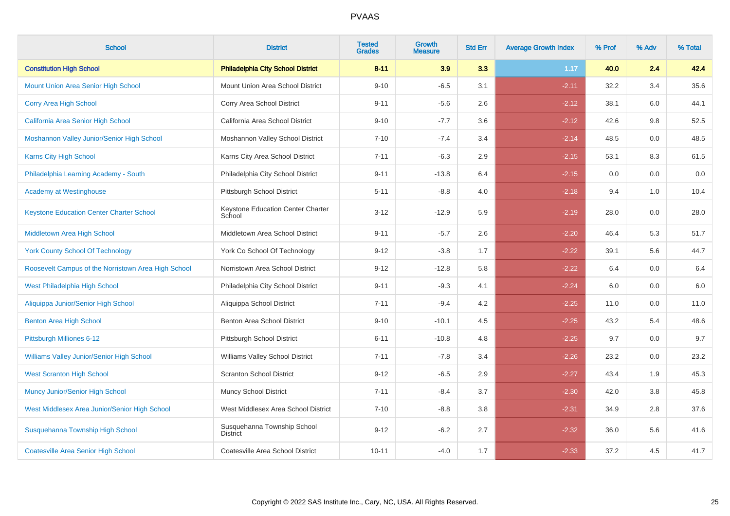| <b>School</b>                                       | <b>District</b>                             | <b>Tested</b><br><b>Grades</b> | <b>Growth</b><br><b>Measure</b> | <b>Std Err</b> | <b>Average Growth Index</b> | % Prof | % Adv | % Total |
|-----------------------------------------------------|---------------------------------------------|--------------------------------|---------------------------------|----------------|-----------------------------|--------|-------|---------|
| <b>Constitution High School</b>                     | <b>Philadelphia City School District</b>    | $8 - 11$                       | 3.9                             | 3.3            | 1.17                        | 40.0   | 2.4   | 42.4    |
| Mount Union Area Senior High School                 | Mount Union Area School District            | $9 - 10$                       | $-6.5$                          | 3.1            | $-2.11$                     | 32.2   | 3.4   | 35.6    |
| <b>Corry Area High School</b>                       | Corry Area School District                  | $9 - 11$                       | $-5.6$                          | 2.6            | $-2.12$                     | 38.1   | 6.0   | 44.1    |
| California Area Senior High School                  | California Area School District             | $9 - 10$                       | $-7.7$                          | 3.6            | $-2.12$                     | 42.6   | 9.8   | 52.5    |
| Moshannon Valley Junior/Senior High School          | Moshannon Valley School District            | $7 - 10$                       | $-7.4$                          | 3.4            | $-2.14$                     | 48.5   | 0.0   | 48.5    |
| <b>Karns City High School</b>                       | Karns City Area School District             | $7 - 11$                       | $-6.3$                          | 2.9            | $-2.15$                     | 53.1   | 8.3   | 61.5    |
| Philadelphia Learning Academy - South               | Philadelphia City School District           | $9 - 11$                       | $-13.8$                         | 6.4            | $-2.15$                     | 0.0    | 0.0   | 0.0     |
| <b>Academy at Westinghouse</b>                      | Pittsburgh School District                  | $5 - 11$                       | $-8.8$                          | 4.0            | $-2.18$                     | 9.4    | 1.0   | 10.4    |
| <b>Keystone Education Center Charter School</b>     | Keystone Education Center Charter<br>School | $3 - 12$                       | $-12.9$                         | 5.9            | $-2.19$                     | 28.0   | 0.0   | 28.0    |
| Middletown Area High School                         | Middletown Area School District             | $9 - 11$                       | $-5.7$                          | 2.6            | $-2.20$                     | 46.4   | 5.3   | 51.7    |
| <b>York County School Of Technology</b>             | York Co School Of Technology                | $9 - 12$                       | $-3.8$                          | 1.7            | $-2.22$                     | 39.1   | 5.6   | 44.7    |
| Roosevelt Campus of the Norristown Area High School | Norristown Area School District             | $9 - 12$                       | $-12.8$                         | 5.8            | $-2.22$                     | 6.4    | 0.0   | 6.4     |
| West Philadelphia High School                       | Philadelphia City School District           | $9 - 11$                       | $-9.3$                          | 4.1            | $-2.24$                     | 6.0    | 0.0   | 6.0     |
| Aliquippa Junior/Senior High School                 | Aliquippa School District                   | $7 - 11$                       | $-9.4$                          | 4.2            | $-2.25$                     | 11.0   | 0.0   | 11.0    |
| <b>Benton Area High School</b>                      | Benton Area School District                 | $9 - 10$                       | $-10.1$                         | 4.5            | $-2.25$                     | 43.2   | 5.4   | 48.6    |
| Pittsburgh Milliones 6-12                           | Pittsburgh School District                  | $6 - 11$                       | $-10.8$                         | 4.8            | $-2.25$                     | 9.7    | 0.0   | 9.7     |
| <b>Williams Valley Junior/Senior High School</b>    | Williams Valley School District             | $7 - 11$                       | $-7.8$                          | 3.4            | $-2.26$                     | 23.2   | 0.0   | 23.2    |
| <b>West Scranton High School</b>                    | <b>Scranton School District</b>             | $9 - 12$                       | $-6.5$                          | 2.9            | $-2.27$                     | 43.4   | 1.9   | 45.3    |
| <b>Muncy Junior/Senior High School</b>              | <b>Muncy School District</b>                | $7 - 11$                       | $-8.4$                          | 3.7            | $-2.30$                     | 42.0   | 3.8   | 45.8    |
| West Middlesex Area Junior/Senior High School       | West Middlesex Area School District         | $7 - 10$                       | $-8.8$                          | 3.8            | $-2.31$                     | 34.9   | 2.8   | 37.6    |
| Susquehanna Township High School                    | Susquehanna Township School<br>District     | $9 - 12$                       | $-6.2$                          | 2.7            | $-2.32$                     | 36.0   | 5.6   | 41.6    |
| <b>Coatesville Area Senior High School</b>          | Coatesville Area School District            | $10 - 11$                      | $-4.0$                          | 1.7            | $-2.33$                     | 37.2   | 4.5   | 41.7    |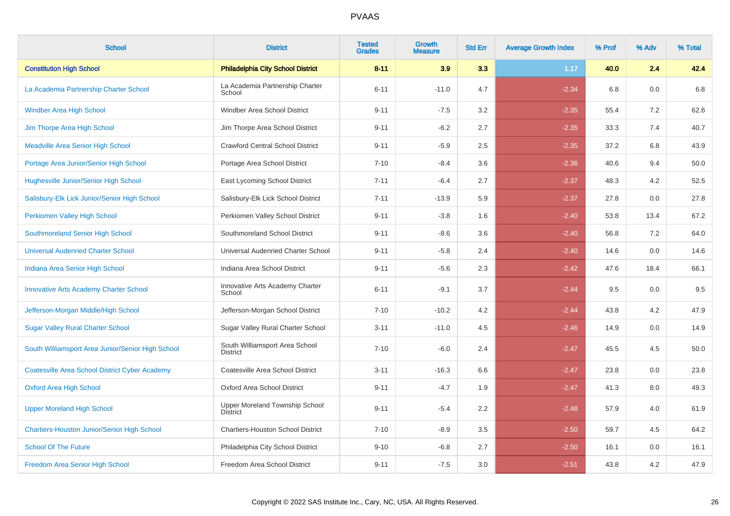| <b>School</b>                                         | <b>District</b>                                   | <b>Tested</b><br><b>Grades</b> | Growth<br><b>Measure</b> | <b>Std Err</b> | <b>Average Growth Index</b> | % Prof | % Adv | % Total |
|-------------------------------------------------------|---------------------------------------------------|--------------------------------|--------------------------|----------------|-----------------------------|--------|-------|---------|
| <b>Constitution High School</b>                       | <b>Philadelphia City School District</b>          | $8 - 11$                       | 3.9                      | 3.3            | 1.17                        | 40.0   | 2.4   | 42.4    |
| La Academia Partnership Charter School                | La Academia Partnership Charter<br>School         | $6 - 11$                       | $-11.0$                  | 4.7            | $-2.34$                     | 6.8    | 0.0   | 6.8     |
| <b>Windber Area High School</b>                       | Windber Area School District                      | $9 - 11$                       | $-7.5$                   | 3.2            | $-2.35$                     | 55.4   | 7.2   | 62.6    |
| Jim Thorpe Area High School                           | Jim Thorpe Area School District                   | $9 - 11$                       | $-6.2$                   | 2.7            | $-2.35$                     | 33.3   | 7.4   | 40.7    |
| <b>Meadville Area Senior High School</b>              | <b>Crawford Central School District</b>           | $9 - 11$                       | $-5.9$                   | 2.5            | $-2.35$                     | 37.2   | 6.8   | 43.9    |
| Portage Area Junior/Senior High School                | Portage Area School District                      | $7 - 10$                       | $-8.4$                   | 3.6            | $-2.36$                     | 40.6   | 9.4   | 50.0    |
| <b>Hughesville Junior/Senior High School</b>          | East Lycoming School District                     | $7 - 11$                       | $-6.4$                   | 2.7            | $-2.37$                     | 48.3   | 4.2   | 52.5    |
| Salisbury-Elk Lick Junior/Senior High School          | Salisbury-Elk Lick School District                | $7 - 11$                       | $-13.9$                  | 5.9            | $-2.37$                     | 27.8   | 0.0   | 27.8    |
| Perkiomen Valley High School                          | Perkiomen Valley School District                  | $9 - 11$                       | $-3.8$                   | 1.6            | $-2.40$                     | 53.8   | 13.4  | 67.2    |
| Southmoreland Senior High School                      | Southmoreland School District                     | $9 - 11$                       | $-8.6$                   | 3.6            | $-2.40$                     | 56.8   | 7.2   | 64.0    |
| <b>Universal Audenried Charter School</b>             | Universal Audenried Charter School                | $9 - 11$                       | $-5.8$                   | 2.4            | $-2.40$                     | 14.6   | 0.0   | 14.6    |
| Indiana Area Senior High School                       | Indiana Area School District                      | $9 - 11$                       | $-5.6$                   | 2.3            | $-2.42$                     | 47.6   | 18.4  | 66.1    |
| <b>Innovative Arts Academy Charter School</b>         | Innovative Arts Academy Charter<br>School         | $6 - 11$                       | $-9.1$                   | 3.7            | $-2.44$                     | 9.5    | 0.0   | 9.5     |
| Jefferson-Morgan Middle/High School                   | Jefferson-Morgan School District                  | $7 - 10$                       | $-10.2$                  | 4.2            | $-2.44$                     | 43.8   | 4.2   | 47.9    |
| <b>Sugar Valley Rural Charter School</b>              | Sugar Valley Rural Charter School                 | $3 - 11$                       | $-11.0$                  | 4.5            | $-2.46$                     | 14.9   | 0.0   | 14.9    |
| South Williamsport Area Junior/Senior High School     | South Williamsport Area School<br><b>District</b> | $7 - 10$                       | $-6.0$                   | 2.4            | $-2.47$                     | 45.5   | 4.5   | 50.0    |
| <b>Coatesville Area School District Cyber Academy</b> | Coatesville Area School District                  | $3 - 11$                       | $-16.3$                  | 6.6            | $-2.47$                     | 23.8   | 0.0   | 23.8    |
| <b>Oxford Area High School</b>                        | Oxford Area School District                       | $9 - 11$                       | $-4.7$                   | 1.9            | $-2.47$                     | 41.3   | 8.0   | 49.3    |
| <b>Upper Moreland High School</b>                     | Upper Moreland Township School<br>District        | $9 - 11$                       | $-5.4$                   | 2.2            | $-2.48$                     | 57.9   | 4.0   | 61.9    |
| <b>Chartiers-Houston Junior/Senior High School</b>    | <b>Chartiers-Houston School District</b>          | $7 - 10$                       | $-8.9$                   | 3.5            | $-2.50$                     | 59.7   | 4.5   | 64.2    |
| <b>School Of The Future</b>                           | Philadelphia City School District                 | $9 - 10$                       | $-6.8$                   | 2.7            | $-2.50$                     | 16.1   | 0.0   | 16.1    |
| Freedom Area Senior High School                       | Freedom Area School District                      | $9 - 11$                       | $-7.5$                   | 3.0            | $-2.51$                     | 43.8   | 4.2   | 47.9    |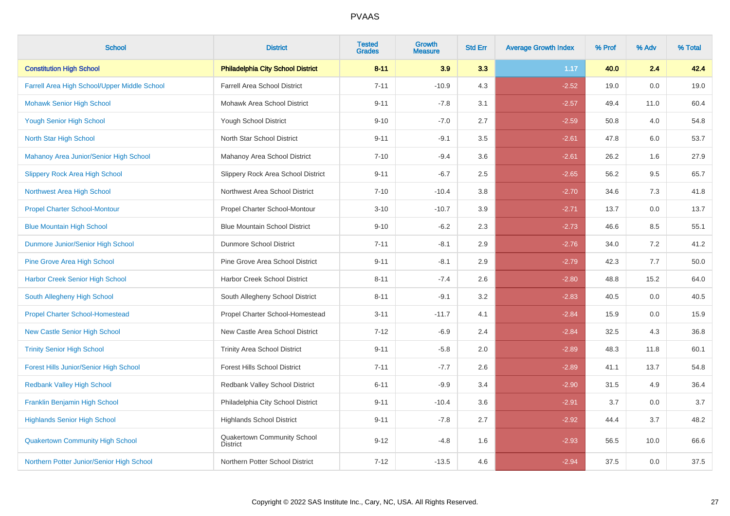| <b>School</b>                                 | <b>District</b>                                | <b>Tested</b><br><b>Grades</b> | <b>Growth</b><br><b>Measure</b> | <b>Std Err</b> | <b>Average Growth Index</b> | % Prof | % Adv | % Total |
|-----------------------------------------------|------------------------------------------------|--------------------------------|---------------------------------|----------------|-----------------------------|--------|-------|---------|
| <b>Constitution High School</b>               | <b>Philadelphia City School District</b>       | $8 - 11$                       | 3.9                             | 3.3            | 1.17                        | 40.0   | 2.4   | 42.4    |
| Farrell Area High School/Upper Middle School  | <b>Farrell Area School District</b>            | $7 - 11$                       | $-10.9$                         | 4.3            | $-2.52$                     | 19.0   | 0.0   | 19.0    |
| <b>Mohawk Senior High School</b>              | Mohawk Area School District                    | $9 - 11$                       | $-7.8$                          | 3.1            | $-2.57$                     | 49.4   | 11.0  | 60.4    |
| <b>Yough Senior High School</b>               | Yough School District                          | $9 - 10$                       | $-7.0$                          | 2.7            | $-2.59$                     | 50.8   | 4.0   | 54.8    |
| North Star High School                        | North Star School District                     | $9 - 11$                       | $-9.1$                          | 3.5            | $-2.61$                     | 47.8   | 6.0   | 53.7    |
| Mahanoy Area Junior/Senior High School        | Mahanoy Area School District                   | $7 - 10$                       | $-9.4$                          | 3.6            | $-2.61$                     | 26.2   | 1.6   | 27.9    |
| <b>Slippery Rock Area High School</b>         | Slippery Rock Area School District             | $9 - 11$                       | $-6.7$                          | 2.5            | $-2.65$                     | 56.2   | 9.5   | 65.7    |
| Northwest Area High School                    | Northwest Area School District                 | $7 - 10$                       | $-10.4$                         | 3.8            | $-2.70$                     | 34.6   | 7.3   | 41.8    |
| <b>Propel Charter School-Montour</b>          | Propel Charter School-Montour                  | $3 - 10$                       | $-10.7$                         | 3.9            | $-2.71$                     | 13.7   | 0.0   | 13.7    |
| <b>Blue Mountain High School</b>              | <b>Blue Mountain School District</b>           | $9 - 10$                       | $-6.2$                          | 2.3            | $-2.73$                     | 46.6   | 8.5   | 55.1    |
| Dunmore Junior/Senior High School             | <b>Dunmore School District</b>                 | $7 - 11$                       | $-8.1$                          | 2.9            | $-2.76$                     | 34.0   | 7.2   | 41.2    |
| <b>Pine Grove Area High School</b>            | Pine Grove Area School District                | $9 - 11$                       | $-8.1$                          | 2.9            | $-2.79$                     | 42.3   | 7.7   | 50.0    |
| <b>Harbor Creek Senior High School</b>        | Harbor Creek School District                   | $8 - 11$                       | $-7.4$                          | 2.6            | $-2.80$                     | 48.8   | 15.2  | 64.0    |
| South Allegheny High School                   | South Allegheny School District                | $8 - 11$                       | $-9.1$                          | 3.2            | $-2.83$                     | 40.5   | 0.0   | 40.5    |
| <b>Propel Charter School-Homestead</b>        | Propel Charter School-Homestead                | $3 - 11$                       | $-11.7$                         | 4.1            | $-2.84$                     | 15.9   | 0.0   | 15.9    |
| <b>New Castle Senior High School</b>          | New Castle Area School District                | $7 - 12$                       | $-6.9$                          | 2.4            | $-2.84$                     | 32.5   | 4.3   | 36.8    |
| <b>Trinity Senior High School</b>             | <b>Trinity Area School District</b>            | $9 - 11$                       | $-5.8$                          | 2.0            | $-2.89$                     | 48.3   | 11.8  | 60.1    |
| <b>Forest Hills Junior/Senior High School</b> | <b>Forest Hills School District</b>            | $7 - 11$                       | $-7.7$                          | 2.6            | $-2.89$                     | 41.1   | 13.7  | 54.8    |
| <b>Redbank Valley High School</b>             | Redbank Valley School District                 | $6 - 11$                       | $-9.9$                          | 3.4            | $-2.90$                     | 31.5   | 4.9   | 36.4    |
| Franklin Benjamin High School                 | Philadelphia City School District              | $9 - 11$                       | $-10.4$                         | 3.6            | $-2.91$                     | 3.7    | 0.0   | 3.7     |
| <b>Highlands Senior High School</b>           | <b>Highlands School District</b>               | $9 - 11$                       | $-7.8$                          | 2.7            | $-2.92$                     | 44.4   | 3.7   | 48.2    |
| <b>Quakertown Community High School</b>       | Quakertown Community School<br><b>District</b> | $9 - 12$                       | $-4.8$                          | 1.6            | $-2.93$                     | 56.5   | 10.0  | 66.6    |
| Northern Potter Junior/Senior High School     | Northern Potter School District                | $7 - 12$                       | $-13.5$                         | 4.6            | $-2.94$                     | 37.5   | 0.0   | 37.5    |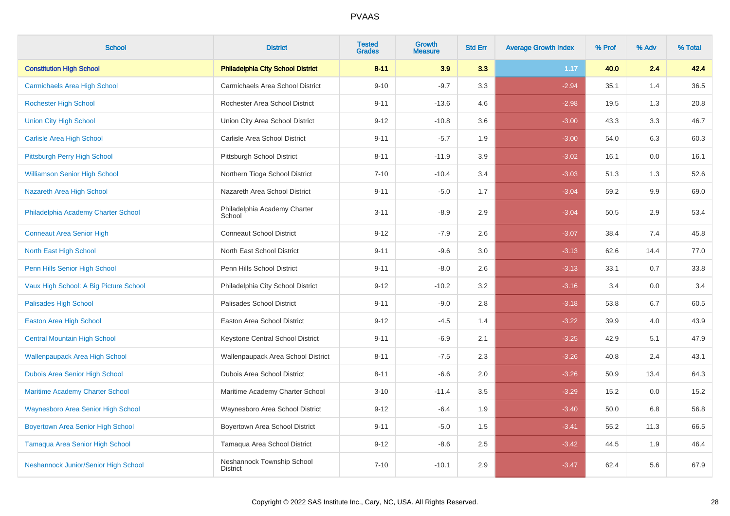| <b>School</b>                             | <b>District</b>                               | <b>Tested</b><br><b>Grades</b> | Growth<br><b>Measure</b> | <b>Std Err</b> | <b>Average Growth Index</b> | % Prof | % Adv | % Total |
|-------------------------------------------|-----------------------------------------------|--------------------------------|--------------------------|----------------|-----------------------------|--------|-------|---------|
| <b>Constitution High School</b>           | <b>Philadelphia City School District</b>      | $8 - 11$                       | 3.9                      | 3.3            | 1.17                        | 40.0   | 2.4   | 42.4    |
| <b>Carmichaels Area High School</b>       | Carmichaels Area School District              | $9 - 10$                       | $-9.7$                   | 3.3            | $-2.94$                     | 35.1   | 1.4   | 36.5    |
| <b>Rochester High School</b>              | Rochester Area School District                | $9 - 11$                       | $-13.6$                  | 4.6            | $-2.98$                     | 19.5   | 1.3   | 20.8    |
| <b>Union City High School</b>             | Union City Area School District               | $9 - 12$                       | $-10.8$                  | 3.6            | $-3.00$                     | 43.3   | 3.3   | 46.7    |
| <b>Carlisle Area High School</b>          | Carlisle Area School District                 | $9 - 11$                       | $-5.7$                   | 1.9            | $-3.00$                     | 54.0   | 6.3   | 60.3    |
| Pittsburgh Perry High School              | Pittsburgh School District                    | $8 - 11$                       | $-11.9$                  | 3.9            | $-3.02$                     | 16.1   | 0.0   | 16.1    |
| <b>Williamson Senior High School</b>      | Northern Tioga School District                | $7 - 10$                       | $-10.4$                  | 3.4            | $-3.03$                     | 51.3   | 1.3   | 52.6    |
| Nazareth Area High School                 | Nazareth Area School District                 | $9 - 11$                       | $-5.0$                   | 1.7            | $-3.04$                     | 59.2   | 9.9   | 69.0    |
| Philadelphia Academy Charter School       | Philadelphia Academy Charter<br>School        | $3 - 11$                       | $-8.9$                   | 2.9            | $-3.04$                     | 50.5   | 2.9   | 53.4    |
| <b>Conneaut Area Senior High</b>          | <b>Conneaut School District</b>               | $9 - 12$                       | $-7.9$                   | 2.6            | $-3.07$                     | 38.4   | 7.4   | 45.8    |
| North East High School                    | North East School District                    | $9 - 11$                       | $-9.6$                   | 3.0            | $-3.13$                     | 62.6   | 14.4  | 77.0    |
| Penn Hills Senior High School             | Penn Hills School District                    | $9 - 11$                       | $-8.0$                   | 2.6            | $-3.13$                     | 33.1   | 0.7   | 33.8    |
| Vaux High School: A Big Picture School    | Philadelphia City School District             | $9 - 12$                       | $-10.2$                  | 3.2            | $-3.16$                     | 3.4    | 0.0   | 3.4     |
| <b>Palisades High School</b>              | Palisades School District                     | $9 - 11$                       | $-9.0$                   | 2.8            | $-3.18$                     | 53.8   | 6.7   | 60.5    |
| <b>Easton Area High School</b>            | Easton Area School District                   | $9 - 12$                       | $-4.5$                   | 1.4            | $-3.22$                     | 39.9   | 4.0   | 43.9    |
| <b>Central Mountain High School</b>       | Keystone Central School District              | $9 - 11$                       | $-6.9$                   | 2.1            | $-3.25$                     | 42.9   | 5.1   | 47.9    |
| <b>Wallenpaupack Area High School</b>     | Wallenpaupack Area School District            | $8 - 11$                       | $-7.5$                   | 2.3            | $-3.26$                     | 40.8   | 2.4   | 43.1    |
| Dubois Area Senior High School            | Dubois Area School District                   | $8 - 11$                       | $-6.6$                   | 2.0            | $-3.26$                     | 50.9   | 13.4  | 64.3    |
| <b>Maritime Academy Charter School</b>    | Maritime Academy Charter School               | $3 - 10$                       | $-11.4$                  | 3.5            | $-3.29$                     | 15.2   | 0.0   | 15.2    |
| <b>Waynesboro Area Senior High School</b> | Waynesboro Area School District               | $9 - 12$                       | $-6.4$                   | 1.9            | $-3.40$                     | 50.0   | 6.8   | 56.8    |
| <b>Boyertown Area Senior High School</b>  | Boyertown Area School District                | $9 - 11$                       | $-5.0$                   | 1.5            | $-3.41$                     | 55.2   | 11.3  | 66.5    |
| <b>Tamaqua Area Senior High School</b>    | Tamaqua Area School District                  | $9 - 12$                       | $-8.6$                   | 2.5            | $-3.42$                     | 44.5   | 1.9   | 46.4    |
| Neshannock Junior/Senior High School      | Neshannock Township School<br><b>District</b> | $7 - 10$                       | $-10.1$                  | 2.9            | $-3.47$                     | 62.4   | 5.6   | 67.9    |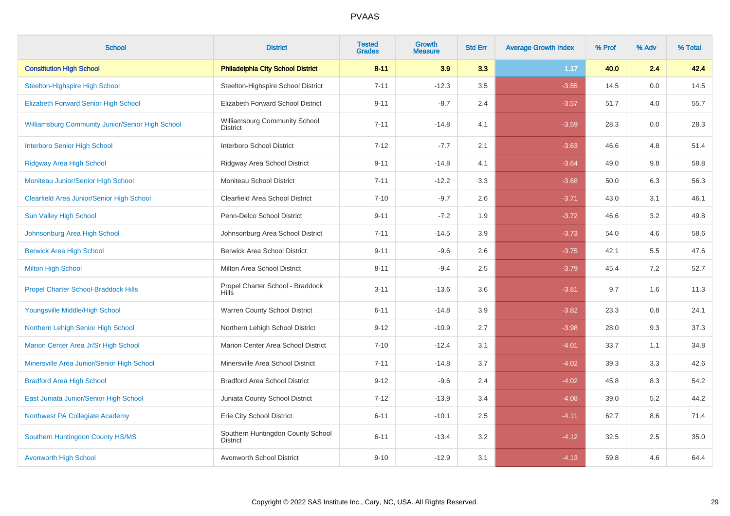| <b>School</b>                                           | <b>District</b>                                      | <b>Tested</b><br><b>Grades</b> | <b>Growth</b><br><b>Measure</b> | <b>Std Err</b> | <b>Average Growth Index</b> | % Prof | % Adv | % Total |
|---------------------------------------------------------|------------------------------------------------------|--------------------------------|---------------------------------|----------------|-----------------------------|--------|-------|---------|
| <b>Constitution High School</b>                         | <b>Philadelphia City School District</b>             | $8 - 11$                       | 3.9                             | 3.3            | 1.17                        | 40.0   | 2.4   | 42.4    |
| <b>Steelton-Highspire High School</b>                   | Steelton-Highspire School District                   | $7 - 11$                       | $-12.3$                         | 3.5            | $-3.55$                     | 14.5   | 0.0   | 14.5    |
| <b>Elizabeth Forward Senior High School</b>             | Elizabeth Forward School District                    | $9 - 11$                       | $-8.7$                          | 2.4            | $-3.57$                     | 51.7   | 4.0   | 55.7    |
| <b>Williamsburg Community Junior/Senior High School</b> | Williamsburg Community School<br><b>District</b>     | $7 - 11$                       | $-14.8$                         | 4.1            | $-3.59$                     | 28.3   | 0.0   | 28.3    |
| <b>Interboro Senior High School</b>                     | Interboro School District                            | $7 - 12$                       | $-7.7$                          | 2.1            | $-3.63$                     | 46.6   | 4.8   | 51.4    |
| <b>Ridgway Area High School</b>                         | Ridgway Area School District                         | $9 - 11$                       | $-14.8$                         | 4.1            | $-3.64$                     | 49.0   | 9.8   | 58.8    |
| Moniteau Junior/Senior High School                      | Moniteau School District                             | $7 - 11$                       | $-12.2$                         | 3.3            | $-3.68$                     | 50.0   | 6.3   | 56.3    |
| <b>Clearfield Area Junior/Senior High School</b>        | Clearfield Area School District                      | $7 - 10$                       | $-9.7$                          | 2.6            | $-3.71$                     | 43.0   | 3.1   | 46.1    |
| <b>Sun Valley High School</b>                           | Penn-Delco School District                           | $9 - 11$                       | $-7.2$                          | 1.9            | $-3.72$                     | 46.6   | 3.2   | 49.8    |
| Johnsonburg Area High School                            | Johnsonburg Area School District                     | $7 - 11$                       | $-14.5$                         | 3.9            | $-3.73$                     | 54.0   | 4.6   | 58.6    |
| <b>Berwick Area High School</b>                         | <b>Berwick Area School District</b>                  | $9 - 11$                       | $-9.6$                          | 2.6            | $-3.75$                     | 42.1   | 5.5   | 47.6    |
| <b>Milton High School</b>                               | Milton Area School District                          | $8 - 11$                       | $-9.4$                          | 2.5            | $-3.79$                     | 45.4   | 7.2   | 52.7    |
| <b>Propel Charter School-Braddock Hills</b>             | Propel Charter School - Braddock<br><b>Hills</b>     | $3 - 11$                       | $-13.6$                         | 3.6            | $-3.81$                     | 9.7    | 1.6   | 11.3    |
| Youngsville Middle/High School                          | Warren County School District                        | $6 - 11$                       | $-14.8$                         | 3.9            | $-3.82$                     | 23.3   | 0.8   | 24.1    |
| Northern Lehigh Senior High School                      | Northern Lehigh School District                      | $9 - 12$                       | $-10.9$                         | 2.7            | $-3.98$                     | 28.0   | 9.3   | 37.3    |
| Marion Center Area Jr/Sr High School                    | Marion Center Area School District                   | $7 - 10$                       | $-12.4$                         | 3.1            | $-4.01$                     | 33.7   | 1.1   | 34.8    |
| Minersville Area Junior/Senior High School              | Minersville Area School District                     | $7 - 11$                       | $-14.8$                         | 3.7            | $-4.02$                     | 39.3   | 3.3   | 42.6    |
| <b>Bradford Area High School</b>                        | <b>Bradford Area School District</b>                 | $9 - 12$                       | $-9.6$                          | 2.4            | $-4.02$                     | 45.8   | 8.3   | 54.2    |
| East Juniata Junior/Senior High School                  | Juniata County School District                       | $7 - 12$                       | $-13.9$                         | 3.4            | $-4.08$                     | 39.0   | 5.2   | 44.2    |
| Northwest PA Collegiate Academy                         | Erie City School District                            | $6 - 11$                       | $-10.1$                         | 2.5            | $-4.11$                     | 62.7   | 8.6   | 71.4    |
| Southern Huntingdon County HS/MS                        | Southern Huntingdon County School<br><b>District</b> | $6 - 11$                       | $-13.4$                         | 3.2            | $-4.12$                     | 32.5   | 2.5   | 35.0    |
| <b>Avonworth High School</b>                            | Avonworth School District                            | $9 - 10$                       | $-12.9$                         | 3.1            | $-4.13$                     | 59.8   | 4.6   | 64.4    |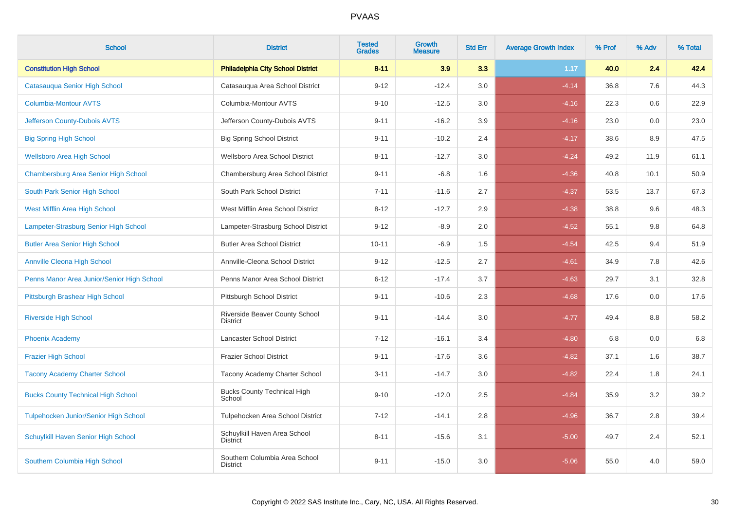| <b>School</b>                                | <b>District</b>                                   | <b>Tested</b><br><b>Grades</b> | <b>Growth</b><br><b>Measure</b> | <b>Std Err</b> | <b>Average Growth Index</b> | % Prof | % Adv | % Total |
|----------------------------------------------|---------------------------------------------------|--------------------------------|---------------------------------|----------------|-----------------------------|--------|-------|---------|
| <b>Constitution High School</b>              | <b>Philadelphia City School District</b>          | $8 - 11$                       | 3.9                             | 3.3            | 1.17                        | 40.0   | 2.4   | 42.4    |
| Catasauqua Senior High School                | Catasauqua Area School District                   | $9 - 12$                       | $-12.4$                         | 3.0            | $-4.14$                     | 36.8   | 7.6   | 44.3    |
| <b>Columbia-Montour AVTS</b>                 | Columbia-Montour AVTS                             | $9 - 10$                       | $-12.5$                         | $3.0\,$        | $-4.16$                     | 22.3   | 0.6   | 22.9    |
| Jefferson County-Dubois AVTS                 | Jefferson County-Dubois AVTS                      | $9 - 11$                       | $-16.2$                         | 3.9            | $-4.16$                     | 23.0   | 0.0   | 23.0    |
| <b>Big Spring High School</b>                | <b>Big Spring School District</b>                 | $9 - 11$                       | $-10.2$                         | 2.4            | $-4.17$                     | 38.6   | 8.9   | 47.5    |
| <b>Wellsboro Area High School</b>            | Wellsboro Area School District                    | $8 - 11$                       | $-12.7$                         | 3.0            | $-4.24$                     | 49.2   | 11.9  | 61.1    |
| Chambersburg Area Senior High School         | Chambersburg Area School District                 | $9 - 11$                       | $-6.8$                          | 1.6            | $-4.36$                     | 40.8   | 10.1  | 50.9    |
| South Park Senior High School                | South Park School District                        | $7 - 11$                       | $-11.6$                         | 2.7            | $-4.37$                     | 53.5   | 13.7  | 67.3    |
| West Mifflin Area High School                | West Mifflin Area School District                 | $8 - 12$                       | $-12.7$                         | 2.9            | $-4.38$                     | 38.8   | 9.6   | 48.3    |
| Lampeter-Strasburg Senior High School        | Lampeter-Strasburg School District                | $9 - 12$                       | $-8.9$                          | 2.0            | $-4.52$                     | 55.1   | 9.8   | 64.8    |
| <b>Butler Area Senior High School</b>        | <b>Butler Area School District</b>                | $10 - 11$                      | $-6.9$                          | 1.5            | $-4.54$                     | 42.5   | 9.4   | 51.9    |
| <b>Annville Cleona High School</b>           | Annville-Cleona School District                   | $9 - 12$                       | $-12.5$                         | 2.7            | $-4.61$                     | 34.9   | 7.8   | 42.6    |
| Penns Manor Area Junior/Senior High School   | Penns Manor Area School District                  | $6 - 12$                       | $-17.4$                         | 3.7            | $-4.63$                     | 29.7   | 3.1   | 32.8    |
| Pittsburgh Brashear High School              | Pittsburgh School District                        | $9 - 11$                       | $-10.6$                         | 2.3            | $-4.68$                     | 17.6   | 0.0   | 17.6    |
| <b>Riverside High School</b>                 | Riverside Beaver County School<br><b>District</b> | $9 - 11$                       | $-14.4$                         | $3.0\,$        | $-4.77$                     | 49.4   | 8.8   | 58.2    |
| <b>Phoenix Academy</b>                       | Lancaster School District                         | $7 - 12$                       | $-16.1$                         | 3.4            | $-4.80$                     | 6.8    | 0.0   | 6.8     |
| <b>Frazier High School</b>                   | <b>Frazier School District</b>                    | $9 - 11$                       | $-17.6$                         | 3.6            | $-4.82$                     | 37.1   | 1.6   | 38.7    |
| <b>Tacony Academy Charter School</b>         | Tacony Academy Charter School                     | $3 - 11$                       | $-14.7$                         | 3.0            | $-4.82$                     | 22.4   | 1.8   | 24.1    |
| <b>Bucks County Technical High School</b>    | <b>Bucks County Technical High</b><br>School      | $9 - 10$                       | $-12.0$                         | 2.5            | $-4.84$                     | 35.9   | 3.2   | 39.2    |
| <b>Tulpehocken Junior/Senior High School</b> | Tulpehocken Area School District                  | $7 - 12$                       | $-14.1$                         | 2.8            | $-4.96$                     | 36.7   | 2.8   | 39.4    |
| Schuylkill Haven Senior High School          | Schuylkill Haven Area School<br><b>District</b>   | $8 - 11$                       | $-15.6$                         | 3.1            | $-5.00$                     | 49.7   | 2.4   | 52.1    |
| Southern Columbia High School                | Southern Columbia Area School<br><b>District</b>  | $9 - 11$                       | $-15.0$                         | 3.0            | $-5.06$                     | 55.0   | 4.0   | 59.0    |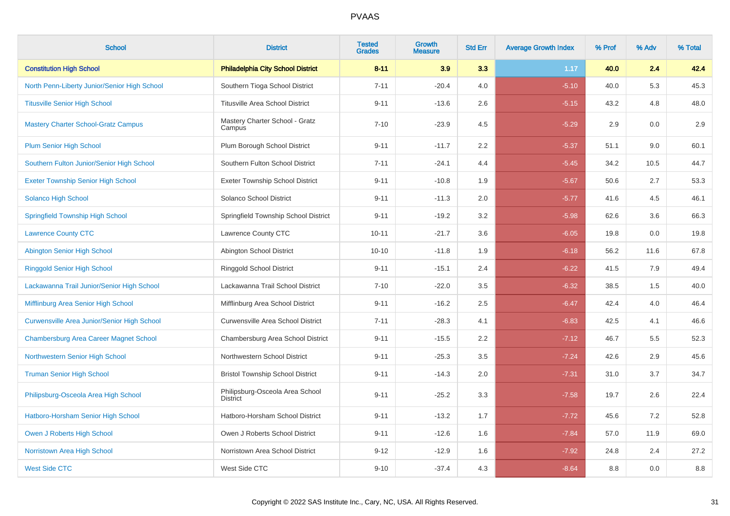| <b>School</b>                                      | <b>District</b>                                    | <b>Tested</b><br><b>Grades</b> | <b>Growth</b><br><b>Measure</b> | <b>Std Err</b> | <b>Average Growth Index</b> | % Prof | % Adv | % Total |
|----------------------------------------------------|----------------------------------------------------|--------------------------------|---------------------------------|----------------|-----------------------------|--------|-------|---------|
| <b>Constitution High School</b>                    | <b>Philadelphia City School District</b>           | $8 - 11$                       | 3.9                             | 3.3            | 1.17                        | 40.0   | 2.4   | 42.4    |
| North Penn-Liberty Junior/Senior High School       | Southern Tioga School District                     | $7 - 11$                       | $-20.4$                         | 4.0            | $-5.10$                     | 40.0   | 5.3   | 45.3    |
| <b>Titusville Senior High School</b>               | <b>Titusville Area School District</b>             | $9 - 11$                       | $-13.6$                         | 2.6            | $-5.15$                     | 43.2   | 4.8   | 48.0    |
| <b>Mastery Charter School-Gratz Campus</b>         | Mastery Charter School - Gratz<br>Campus           | $7 - 10$                       | $-23.9$                         | 4.5            | $-5.29$                     | 2.9    | 0.0   | 2.9     |
| <b>Plum Senior High School</b>                     | Plum Borough School District                       | $9 - 11$                       | $-11.7$                         | 2.2            | $-5.37$                     | 51.1   | 9.0   | 60.1    |
| Southern Fulton Junior/Senior High School          | Southern Fulton School District                    | $7 - 11$                       | $-24.1$                         | 4.4            | $-5.45$                     | 34.2   | 10.5  | 44.7    |
| <b>Exeter Township Senior High School</b>          | <b>Exeter Township School District</b>             | $9 - 11$                       | $-10.8$                         | 1.9            | $-5.67$                     | 50.6   | 2.7   | 53.3    |
| Solanco High School                                | Solanco School District                            | $9 - 11$                       | $-11.3$                         | 2.0            | $-5.77$                     | 41.6   | 4.5   | 46.1    |
| <b>Springfield Township High School</b>            | Springfield Township School District               | $9 - 11$                       | $-19.2$                         | 3.2            | $-5.98$                     | 62.6   | 3.6   | 66.3    |
| <b>Lawrence County CTC</b>                         | Lawrence County CTC                                | $10 - 11$                      | $-21.7$                         | 3.6            | $-6.05$                     | 19.8   | 0.0   | 19.8    |
| <b>Abington Senior High School</b>                 | Abington School District                           | $10 - 10$                      | $-11.8$                         | 1.9            | $-6.18$                     | 56.2   | 11.6  | 67.8    |
| <b>Ringgold Senior High School</b>                 | Ringgold School District                           | $9 - 11$                       | $-15.1$                         | 2.4            | $-6.22$                     | 41.5   | 7.9   | 49.4    |
| Lackawanna Trail Junior/Senior High School         | Lackawanna Trail School District                   | $7 - 10$                       | $-22.0$                         | 3.5            | $-6.32$                     | 38.5   | 1.5   | 40.0    |
| Mifflinburg Area Senior High School                | Mifflinburg Area School District                   | $9 - 11$                       | $-16.2$                         | 2.5            | $-6.47$                     | 42.4   | 4.0   | 46.4    |
| <b>Curwensville Area Junior/Senior High School</b> | Curwensville Area School District                  | $7 - 11$                       | $-28.3$                         | 4.1            | $-6.83$                     | 42.5   | 4.1   | 46.6    |
| <b>Chambersburg Area Career Magnet School</b>      | Chambersburg Area School District                  | $9 - 11$                       | $-15.5$                         | 2.2            | $-7.12$                     | 46.7   | 5.5   | 52.3    |
| Northwestern Senior High School                    | Northwestern School District                       | $9 - 11$                       | $-25.3$                         | 3.5            | $-7.24$                     | 42.6   | 2.9   | 45.6    |
| <b>Truman Senior High School</b>                   | <b>Bristol Township School District</b>            | $9 - 11$                       | $-14.3$                         | 2.0            | $-7.31$                     | 31.0   | 3.7   | 34.7    |
| Philipsburg-Osceola Area High School               | Philipsburg-Osceola Area School<br><b>District</b> | $9 - 11$                       | $-25.2$                         | 3.3            | $-7.58$                     | 19.7   | 2.6   | 22.4    |
| Hatboro-Horsham Senior High School                 | Hatboro-Horsham School District                    | $9 - 11$                       | $-13.2$                         | 1.7            | $-7.72$                     | 45.6   | 7.2   | 52.8    |
| Owen J Roberts High School                         | Owen J Roberts School District                     | $9 - 11$                       | $-12.6$                         | 1.6            | $-7.84$                     | 57.0   | 11.9  | 69.0    |
| Norristown Area High School                        | Norristown Area School District                    | $9 - 12$                       | $-12.9$                         | 1.6            | $-7.92$                     | 24.8   | 2.4   | 27.2    |
| <b>West Side CTC</b>                               | West Side CTC                                      | $9 - 10$                       | $-37.4$                         | 4.3            | $-8.64$                     | 8.8    | 0.0   | 8.8     |